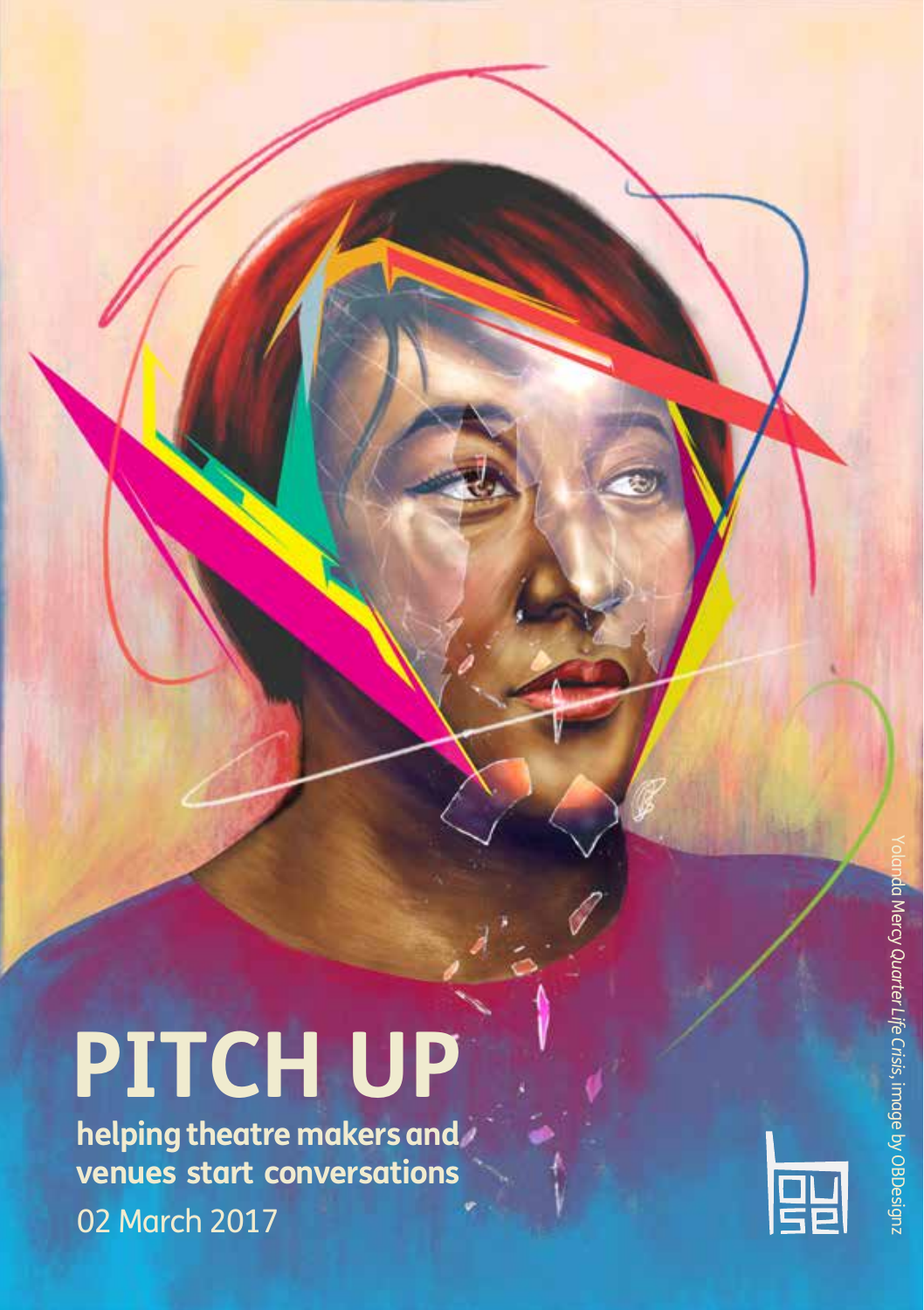# **PITCH UP**

**helping theatre makers and venues start conversations**  02 March 2017

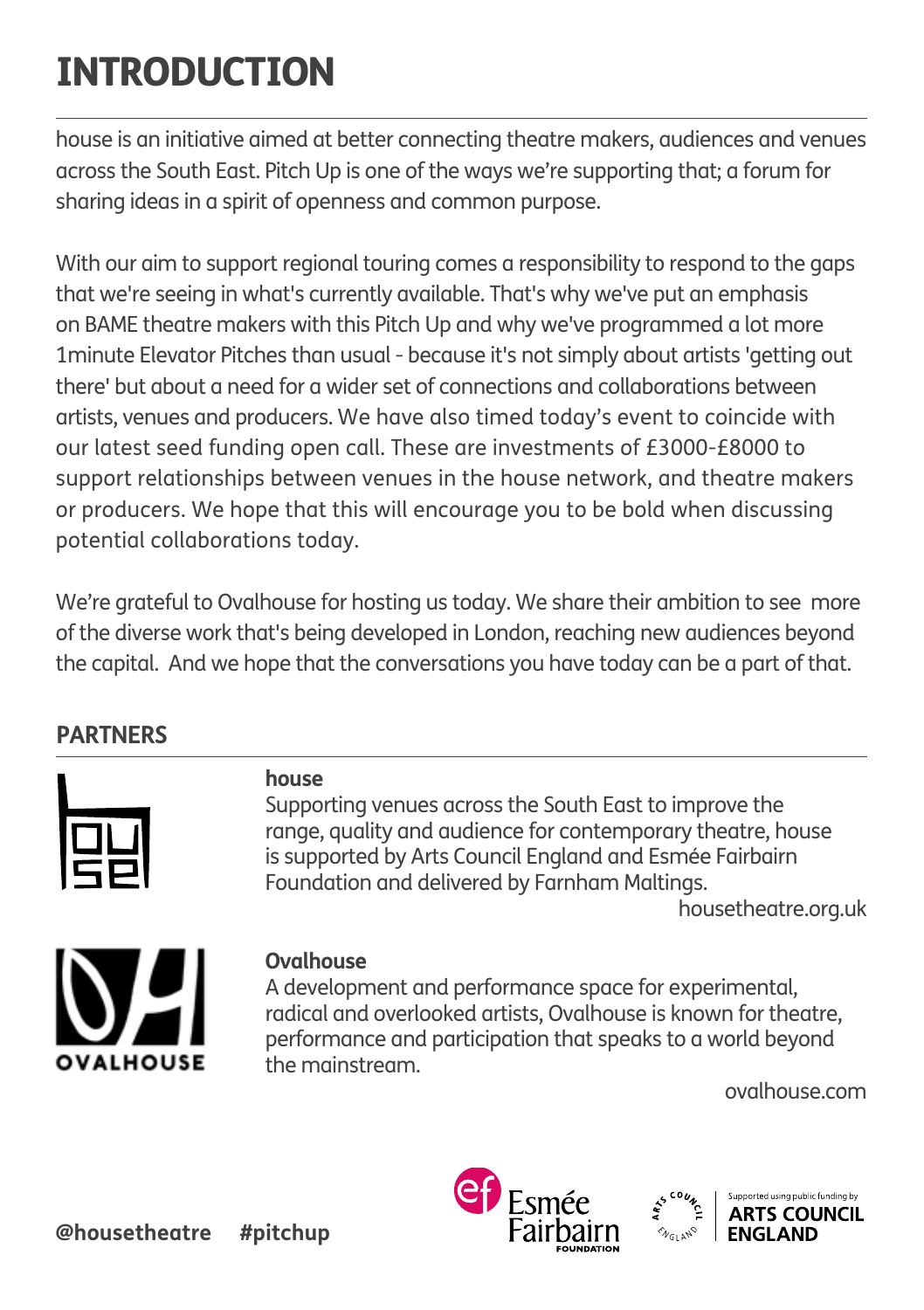# INTRODUCTION

house is an initiative aimed at better connecting theatre makers, audiences and venues across the South East. Pitch Up is one of the ways we're supporting that; a forum for sharing ideas in a spirit of openness and common purpose.

With our aim to support regional touring comes a responsibility to respond to the gaps that we're seeing in what's currently available. That's why we've put an emphasis on BAME theatre makers with this Pitch Up and why we've programmed a lot more 1minute Elevator Pitches than usual - because it's not simply about artists 'getting out there' but about a need for a wider set of connections and collaborations between artists, venues and producers. We have also timed today's event to coincide with our latest seed funding open call. These are investments of £3000-£8000 to support relationships between venues in the house network, and theatre makers or producers. We hope that this will encourage you to be bold when discussing potential collaborations today.

We're grateful to Ovalhouse for hosting us today. We share their ambition to see more of the diverse work that's being developed in London, reaching new audiences beyond the capital. And we hope that the conversations you have today can be a part of that.

## **PARTNERS**



## **house**

Supporting venues across the South East to improve the range, quality and audience for contemporary theatre, house is supported by Arts Council England and Esmée Fairbairn Foundation and delivered by Farnham Maltings.

housetheatre.org.uk



## **Ovalhouse**

A development and performance space for experimental, radical and overlooked artists, Ovalhouse is known for theatre, performance and participation that speaks to a world beyond the mainstream.

ovalhouse.com

![](_page_1_Picture_13.jpeg)

![](_page_1_Picture_14.jpeg)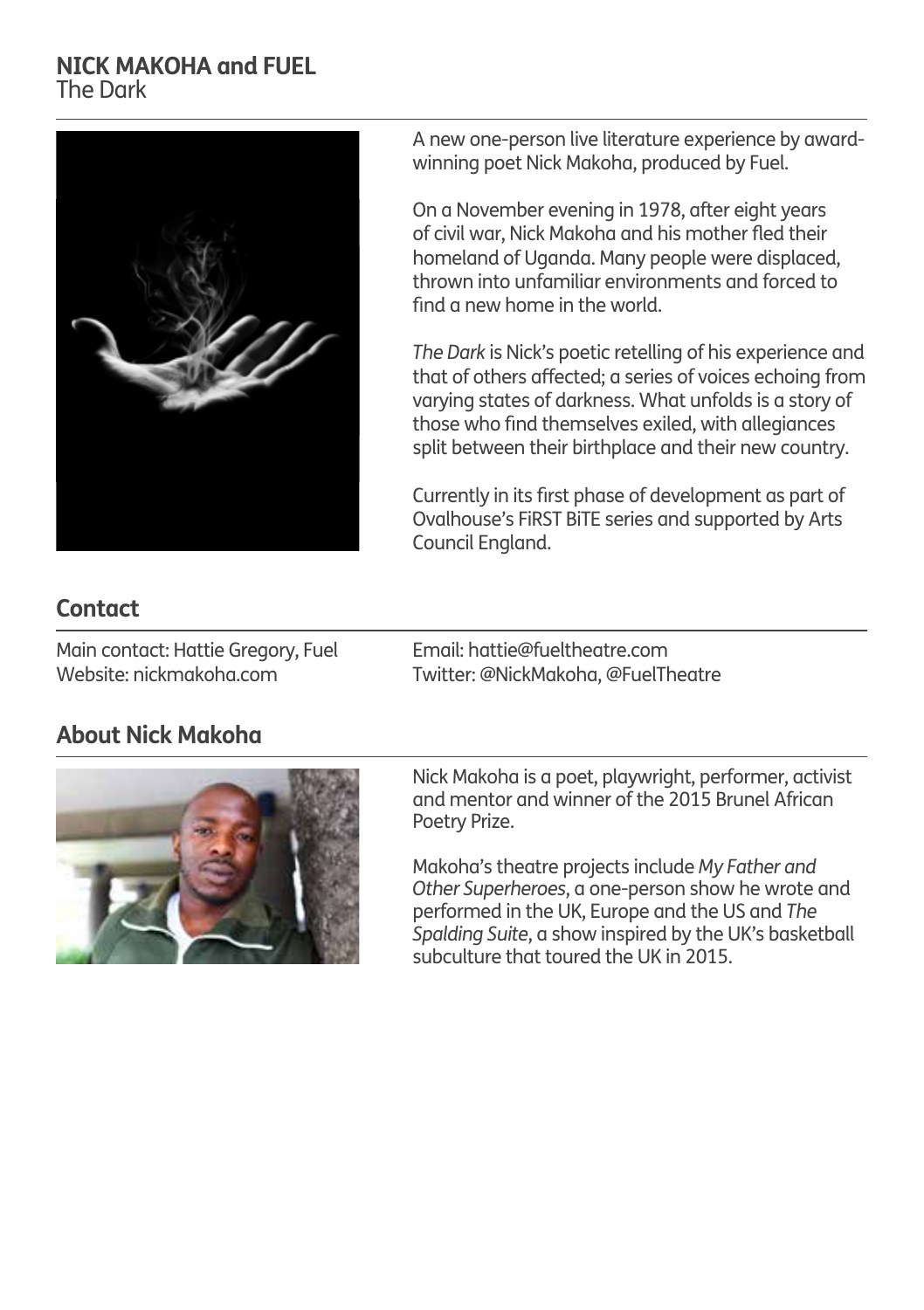#### **NICK MAKOHA and FUEL** The Dark

![](_page_2_Picture_1.jpeg)

A new one-person live literature experience by awardwinning poet Nick Makoha, produced by Fuel.

On a November evening in 1978, after eight years of civil war, Nick Makoha and his mother fled their homeland of Uganda. Many people were displaced, thrown into unfamiliar environments and forced to find a new home in the world.

*The Dark* is Nick's poetic retelling of his experience and that of others affected; a series of voices echoing from varying states of darkness. What unfolds is a story of those who find themselves exiled, with allegiances split between their birthplace and their new country.

Currently in its first phase of development as part of Ovalhouse's FiRST BiTE series and supported by Arts Council England.

## **Contact**

Main contact: Hattie Gregory, Fuel Website: nickmakoha.com

Email: hattie@fueltheatre.com Twitter: @NickMakoha, @FuelTheatre

## **About Nick Makoha**

![](_page_2_Picture_10.jpeg)

Nick Makoha is a poet, playwright, performer, activist and mentor and winner of the 2015 Brunel African Poetry Prize.

Makoha's theatre projects include *My Father and Other Superheroes*, a one-person show he wrote and performed in the UK, Europe and the US and *The Spalding Suite*, a show inspired by the UK's basketball subculture that toured the UK in 2015.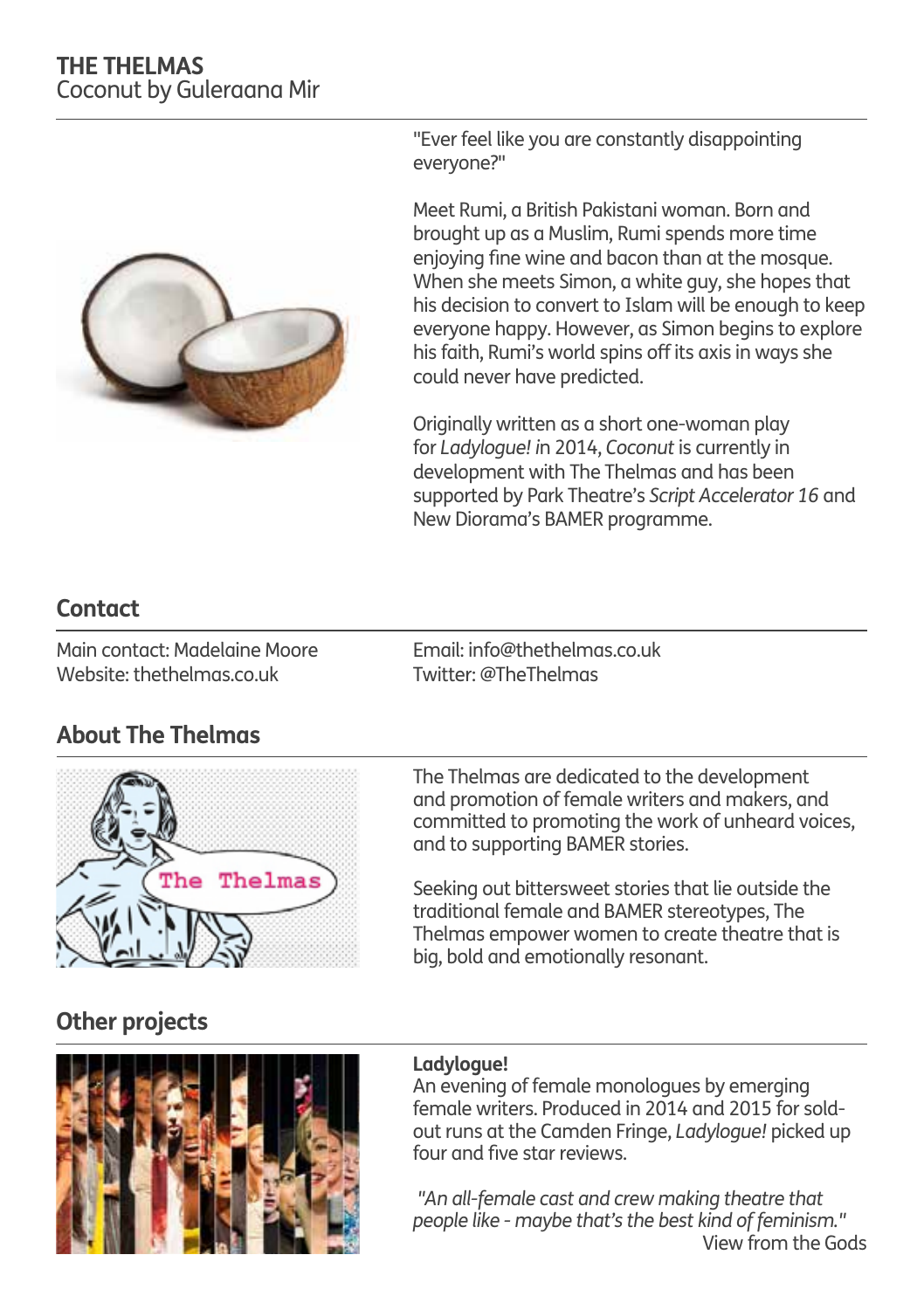## **THE THELMAS** Coconut by Guleraana Mir

![](_page_3_Picture_1.jpeg)

"Ever feel like you are constantly disappointing everyone?"

Meet Rumi, a British Pakistani woman. Born and brought up as a Muslim, Rumi spends more time enjoying fine wine and bacon than at the mosque. When she meets Simon, a white guy, she hopes that his decision to convert to Islam will be enough to keep everyone happy. However, as Simon begins to explore his faith, Rumi's world spins off its axis in ways she could never have predicted.

Originally written as a short one-woman play for *Ladylogue! i*n 2014, *Coconut* is currently in development with The Thelmas and has been supported by Park Theatre's *Script Accelerator 16* and New Diorama's BAMER programme.

## **Contact**

Main contact: Madelaine Moore Website: thethelmas.co.uk

Email: info@thethelmas.co.uk Twitter: @TheThelmas

## **About The Thelmas**

![](_page_3_Picture_9.jpeg)

The Thelmas are dedicated to the development and promotion of female writers and makers, and committed to promoting the work of unheard voices, and to supporting BAMER stories.

Seeking out bittersweet stories that lie outside the traditional female and BAMER stereotypes, The Thelmas empower women to create theatre that is big, bold and emotionally resonant.

## **Other projects**

![](_page_3_Picture_13.jpeg)

#### **Ladylogue!**

An evening of female monologues by emerging female writers. Produced in 2014 and 2015 for soldout runs at the Camden Fringe, *Ladylogue!* picked up four and five star reviews.

*"An all-female cast and crew making theatre that people like - maybe that's the best kind of feminism."* View from the Gods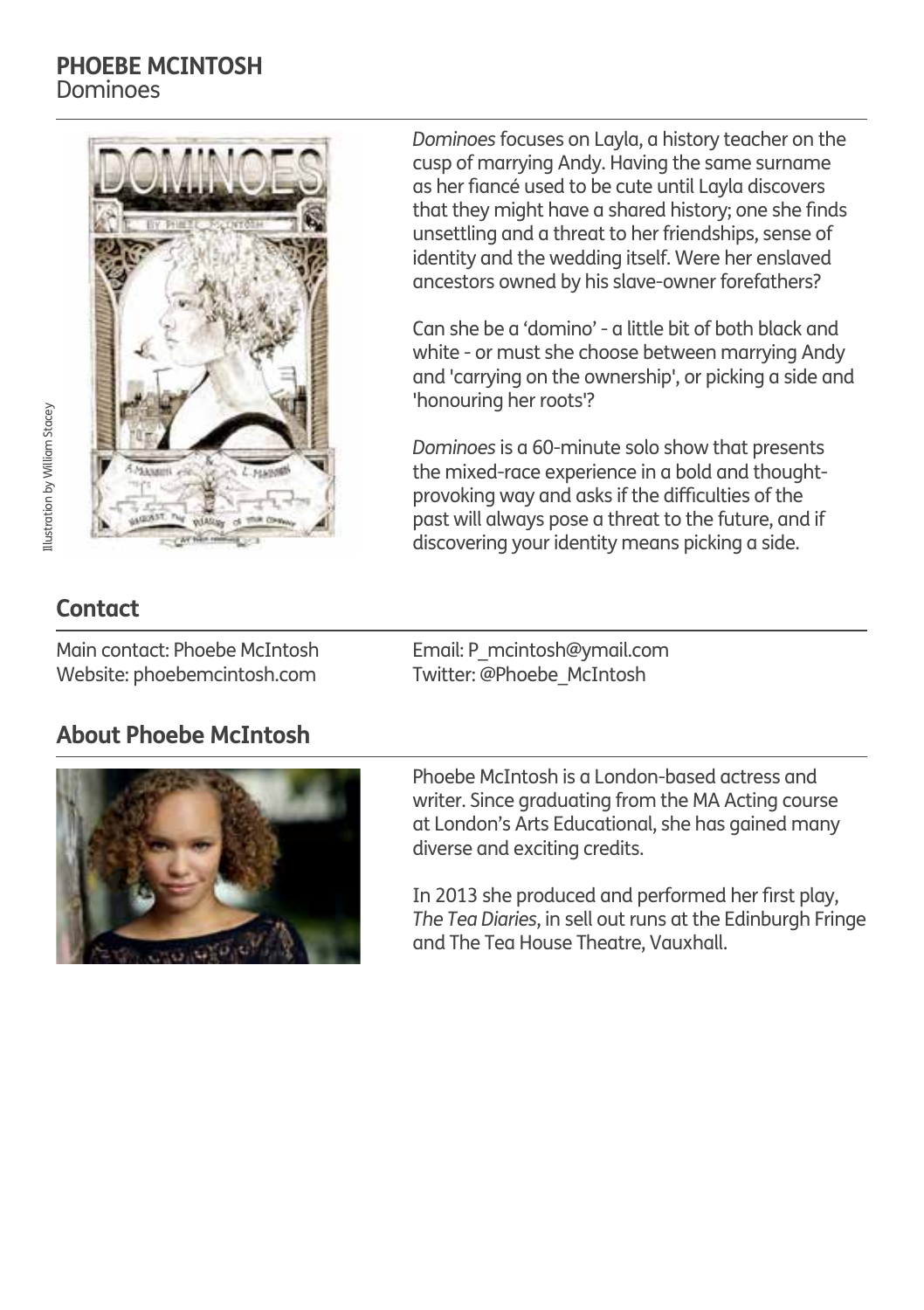#### **PHOEBE MCINTOSH** Dominoes

![](_page_4_Picture_1.jpeg)

*Dominoes* focuses on Layla, a history teacher on the cusp of marrying Andy. Having the same surname as her fiancé used to be cute until Layla discovers that they might have a shared history; one she finds unsettling and a threat to her friendships, sense of identity and the wedding itself. Were her enslaved ancestors owned by his slave-owner forefathers?

Can she be a 'domino' - a little bit of both black and white - or must she choose between marrying Andy and 'carrying on the ownership', or picking a side and 'honouring her roots'?

*Dominoes* is a 60-minute solo show that presents the mixed-race experience in a bold and thoughtprovoking way and asks if the difficulties of the past will always pose a threat to the future, and if discovering your identity means picking a side.

## **Contact**

Main contact: Phoebe McIntosh Website: phoebemcintosh.com

## **About Phoebe McIntosh**

![](_page_4_Picture_8.jpeg)

Phoebe McIntosh is a London-based actress and

Email: P\_mcintosh@ymail.com Twitter: @Phoebe\_McIntosh

writer. Since graduating from the MA Acting course at London's Arts Educational, she has gained many diverse and exciting credits.

In 2013 she produced and performed her first play, *The Tea Diaries*, in sell out runs at the Edinburgh Fringe and The Tea House Theatre, Vauxhall.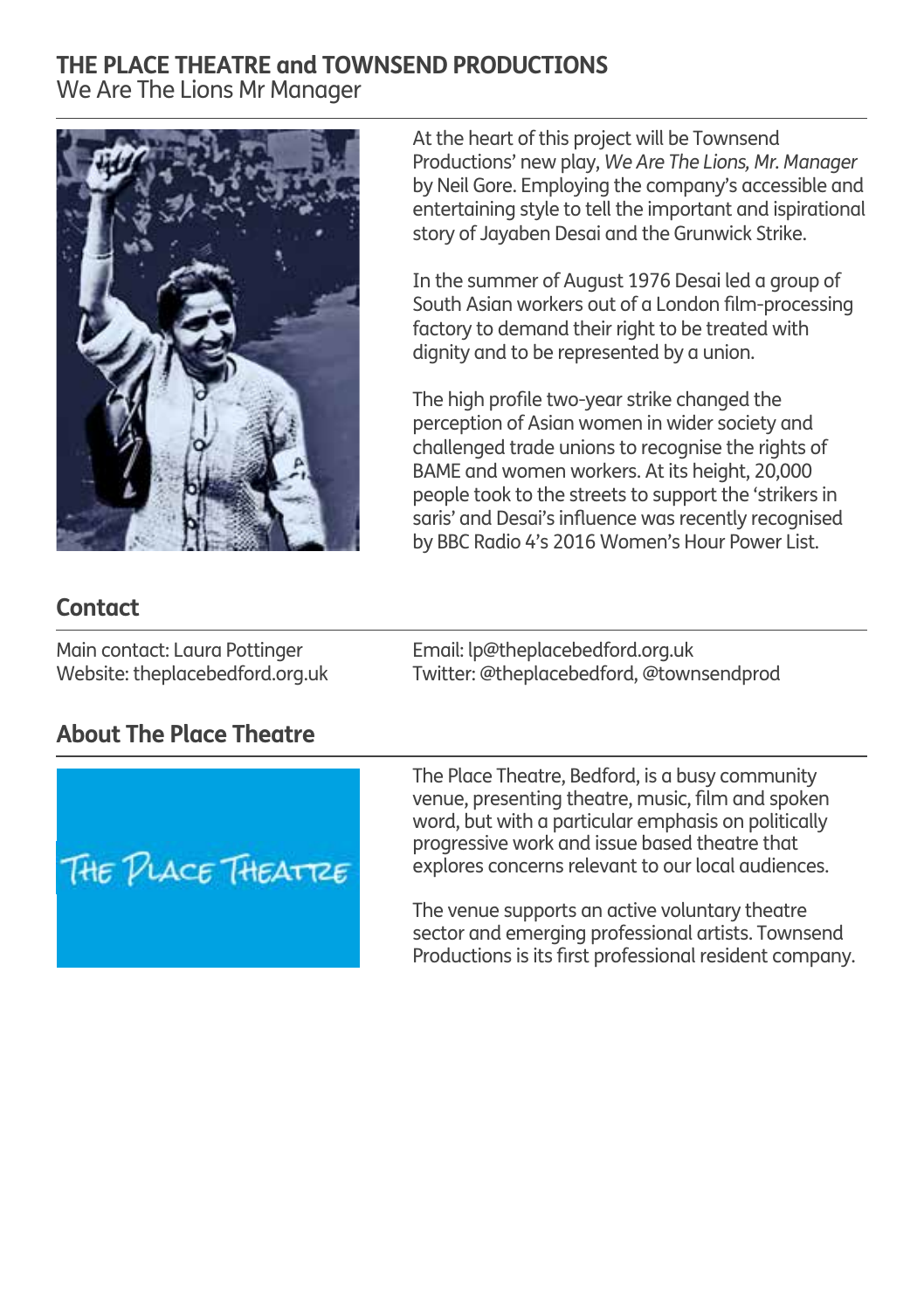### **THE PLACE THEATRE and TOWNSEND PRODUCTIONS** We Are The Lions Mr Manager

![](_page_5_Picture_1.jpeg)

At the heart of this project will be Townsend Productions' new play, *We Are The Lions, Mr. Manager*  by Neil Gore. Employing the company's accessible and entertaining style to tell the important and ispirational story of Jayaben Desai and the Grunwick Strike.

In the summer of August 1976 Desai led a group of South Asian workers out of a London film-processing factory to demand their right to be treated with dignity and to be represented by a union.

The high profile two-year strike changed the perception of Asian women in wider society and challenged trade unions to recognise the rights of BAME and women workers. At its height, 20,000 people took to the streets to support the 'strikers in saris' and Desai's influence was recently recognised by BBC Radio 4's 2016 Women's Hour Power List.

## **Contact**

Main contact: Laura Pottinger Website: theplacebedford.org.uk

## Email: lp@theplacebedford.org.uk Twitter: @theplacebedford, @townsendprod

## **About The Place Theatre**

![](_page_5_Picture_9.jpeg)

The Place Theatre, Bedford, is a busy community venue, presenting theatre, music, film and spoken word, but with a particular emphasis on politically progressive work and issue based theatre that explores concerns relevant to our local audiences.

The venue supports an active voluntary theatre sector and emerging professional artists. Townsend Productions is its first professional resident company.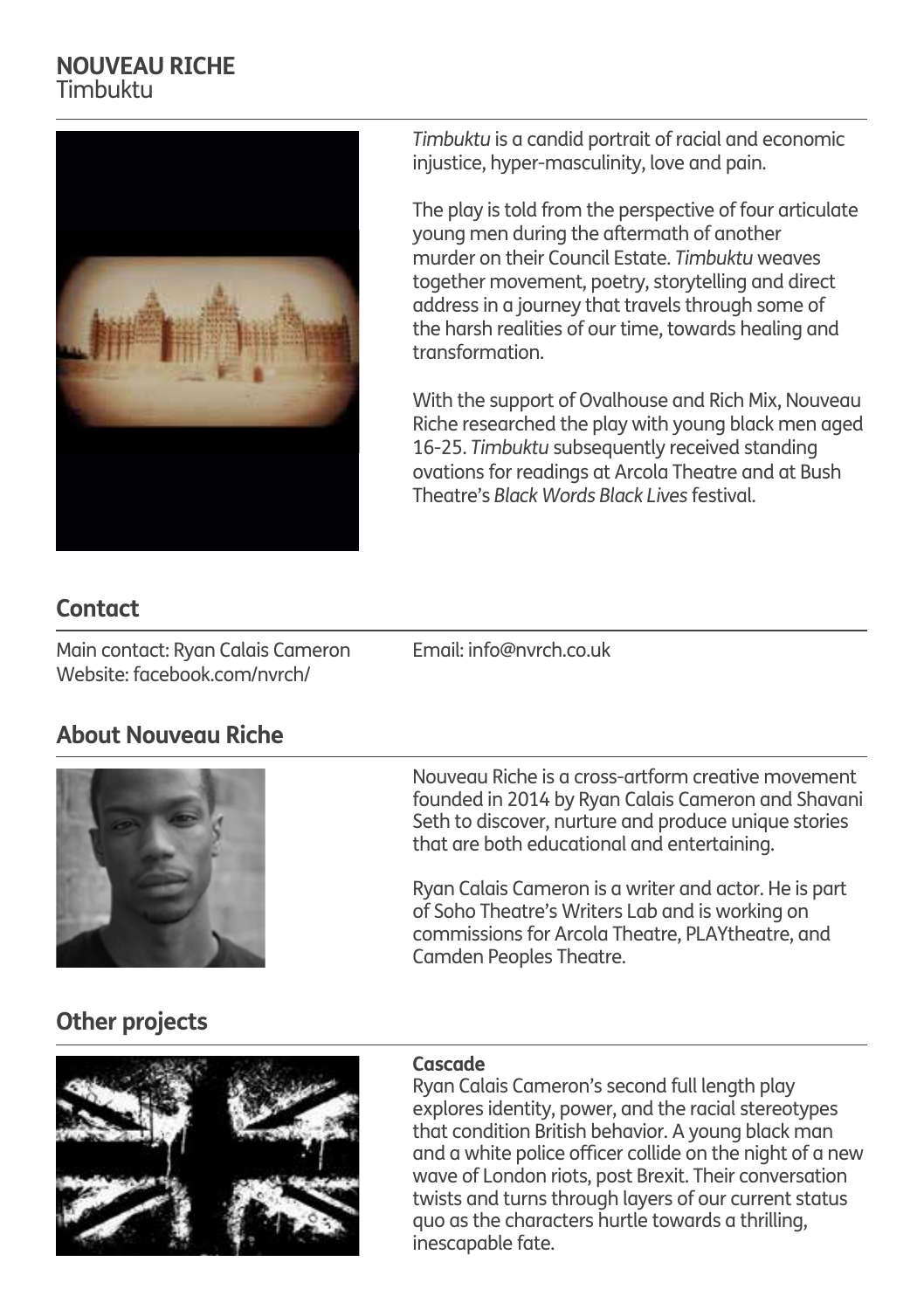## **NOUVEAU RICHE** Timbuktu

![](_page_6_Picture_1.jpeg)

*Timbuktu* is a candid portrait of racial and economic injustice, hyper-masculinity, love and pain.

The play is told from the perspective of four articulate young men during the aftermath of another murder on their Council Estate. *Timbuktu* weaves together movement, poetry, storytelling and direct address in a journey that travels through some of the harsh realities of our time, towards healing and transformation.

With the support of Ovalhouse and Rich Mix, Nouveau Riche researched the play with young black men aged 16-25. *Timbuktu* subsequently received standing ovations for readings at Arcola Theatre and at Bush Theatre's *Black Words Black Lives* festival.

## **Contact**

Main contact: Ryan Calais Cameron Email: info@nvrch.co.uk Website: facebook.com/nvrch/

## **About Nouveau Riche**

![](_page_6_Picture_9.jpeg)

Nouveau Riche is a cross-artform creative movement founded in 2014 by Ryan Calais Cameron and Shavani Seth to discover, nurture and produce unique stories that are both educational and entertaining.

Ryan Calais Cameron is a writer and actor. He is part of Soho Theatre's Writers Lab and is working on commissions for Arcola Theatre, PLAYtheatre, and Camden Peoples Theatre.

## **Other projects**

![](_page_6_Picture_13.jpeg)

#### **Cascade**

Ryan Calais Cameron's second full length play explores identity, power, and the racial stereotypes that condition British behavior. A young black man and a white police officer collide on the night of a new wave of London riots, post Brexit. Their conversation twists and turns through layers of our current status quo as the characters hurtle towards a thrilling, inescapable fate.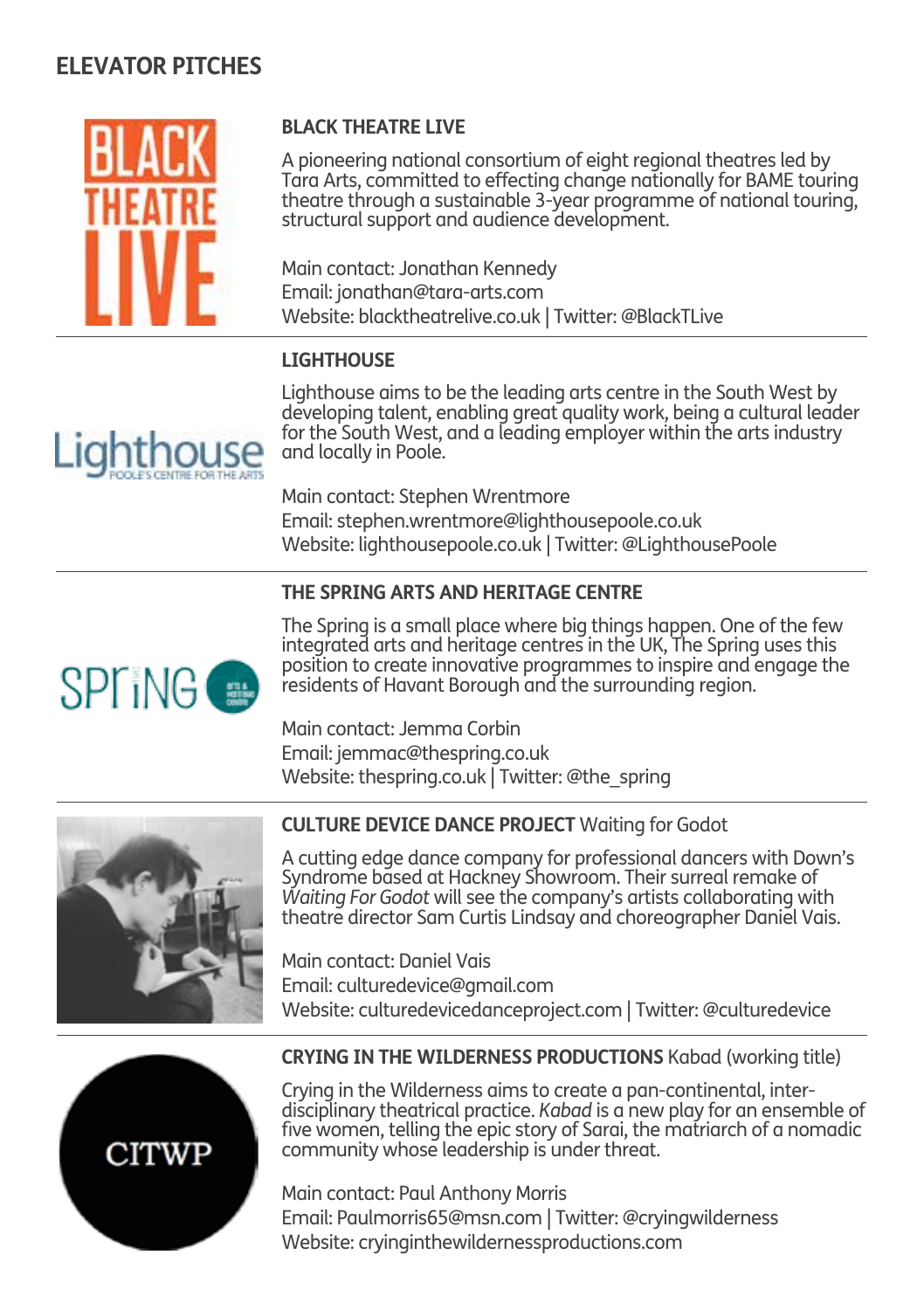![](_page_7_Picture_1.jpeg)

#### **BLACK THEATRE LIVE**

A pioneering national consortium of eight regional theatres led by Tara Arts, committed to effecting change nationally for BAME touring theatre through a sustainable 3-year programme of national touring, structural support and audience development.

Main contact: Jonathan Kennedy Email: jonathan@tara-arts.com Website: blacktheatrelive.co.uk | Twitter: @BlackTLive

#### **LIGHTHOUSE**

Lighthouse aims to be the leading arts centre in the South West by developing talent, enabling great quality work, being a cultural leader for the South West, and a leading employer within the arts industry and locally in Poole.

Main contact: Stephen Wrentmore Email: stephen.wrentmore@lighthousepoole.co.uk Website: lighthousepoole.co.uk | Twitter: @LighthousePoole

#### **THE SPRING ARTS AND HERITAGE CENTRE**

![](_page_7_Picture_9.jpeg)

The Spring is a small place where big things happen. One of the few integrated arts and heritage centres in the UK, The Spring uses this position to create innovative programmes to inspire and engage the residents of Havant Borough and the surrounding region.

Main contact: Jemma Corbin Email: jemmac@thespring.co.uk Website: thespring.co.uk | Twitter: @the\_spring

![](_page_7_Picture_12.jpeg)

#### **CULTURE DEVICE DANCE PROJECT** Waiting for Godot

A cutting edge dance company for professional dancers with Down's Syndrome based at Hackney Showroom. Their surreal remake of *Waiting For Godot* will see the company's artists collaborating with theatre director Sam Curtis Lindsay and choreographer Daniel Vais.

Main contact: Daniel Vais Email: culturedevice@gmail.com Website: culturedevicedanceproject.com | Twitter: @culturedevice

![](_page_7_Picture_16.jpeg)

#### **CRYING IN THE WILDERNESS PRODUCTIONS** Kabad (working title)

Crying in the Wilderness aims to create a pan-continental, interdisciplinary theatrical practice. *Kabad* is a new play for an ensemble of five women, telling the epic story of Sarai, the matriarch of a nomadic community whose leadership is under threat.

Main contact: Paul Anthony Morris Email: Paulmorris65@msn.com | Twitter: @cryingwilderness Website: cryinginthewildernessproductions.com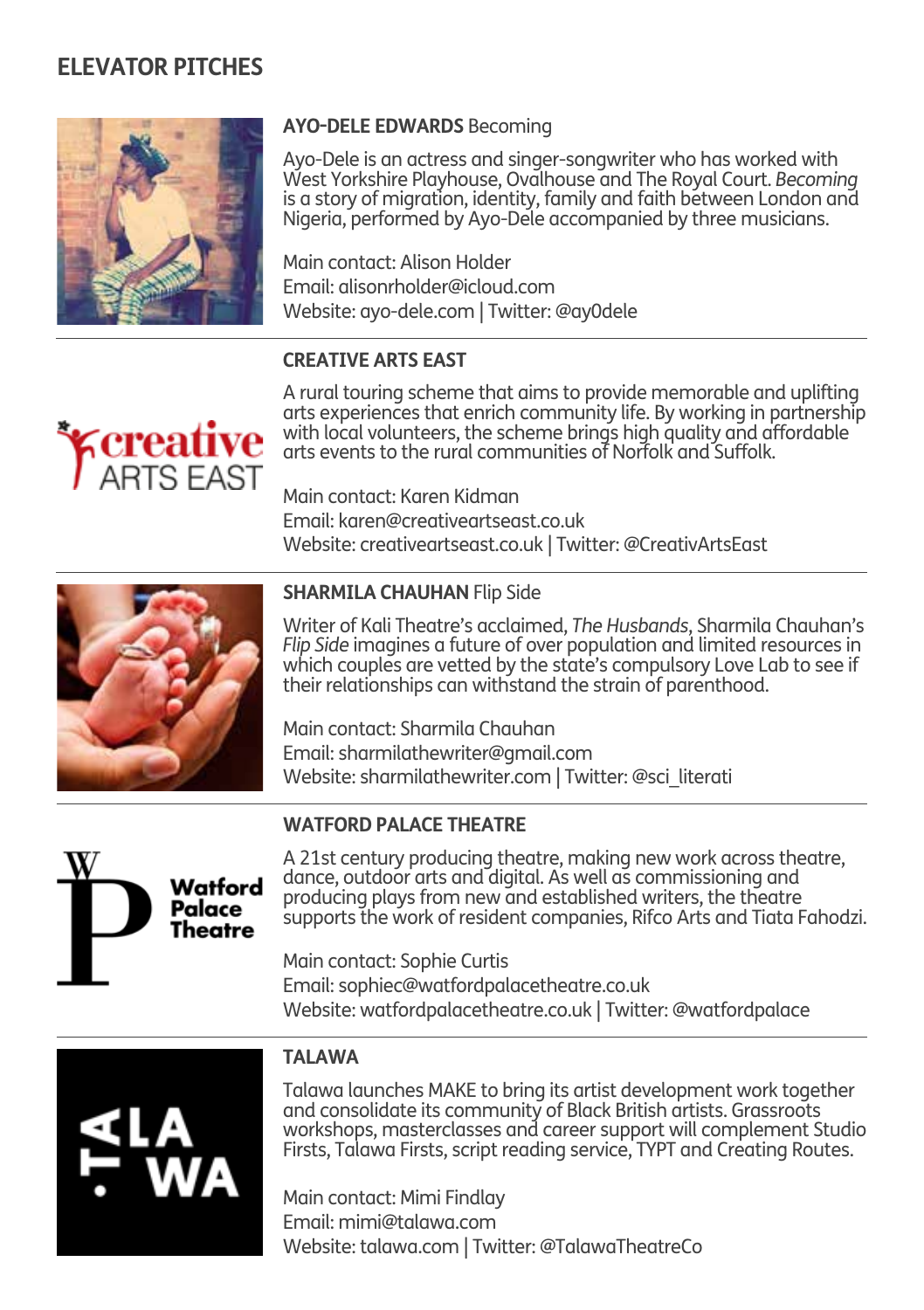![](_page_8_Picture_1.jpeg)

#### **AYO-DELE EDWARDS** Becoming

Ayo-Dele is an actress and singer-songwriter who has worked with West Yorkshire Playhouse, Ovalhouse and The Royal Court. *Becoming* is a story of migration, identity, family and faith between London and Nigeria, performed by Ayo-Dele accompanied by three musicians.

Main contact: Alison Holder Email: alisonrholder@icloud.com Website: ayo-dele.com | Twitter: @ay0dele

#### **CREATIVE ARTS EAST**

![](_page_8_Picture_6.jpeg)

A rural touring scheme that aims to provide memorable and uplifting arts experiences that enrich community life. By working in partnership with local volunteers, the scheme brings high quality and affordable arts events to the rural communities of Norfolk and Suffolk.

Main contact: Karen Kidman Email: karen@creativeartseast.co.uk Website: creativeartseast.co.uk | Twitter: @CreativArtsEast

![](_page_8_Picture_9.jpeg)

#### **SHARMILA CHAUHAN** Flip Side

Writer of Kali Theatre's acclaimed, *The Husbands*, Sharmila Chauhan's *Flip Side* imagines a future of over population and limited resources in which couples are vetted by the state's compulsory Love Lab to see if their relationships can withstand the strain of parenthood.

Main contact: Sharmila Chauhan Email: sharmilathewriter@gmail.com Website: sharmilathewriter.com | Twitter: @sci\_literati

![](_page_8_Picture_13.jpeg)

#### **WATFORD PALACE THEATRE**

A 21st century producing theatre, making new work across theatre, dance, outdoor arts and digital. As well as commissioning and producing plays from new and established writers, the theatre supports the work of resident companies, Rifco Arts and Tiata Fahodzi.

Main contact: Sophie Curtis Email: sophiec@watfordpalacetheatre.co.uk Website: watfordpalacetheatre.co.uk | Twitter: @watfordpalace

![](_page_8_Picture_17.jpeg)

#### **TAI AWA**

Talawa launches MAKE to bring its artist development work together and consolidate its community of Black British artists. Grassroots workshops, masterclasses and career support will complement Studio Firsts, Talawa Firsts, script reading service, TYPT and Creating Routes.

Main contact: Mimi Findlay Email: mimi@talawa.com Website: talawa.com | Twitter: @TalawaTheatreCo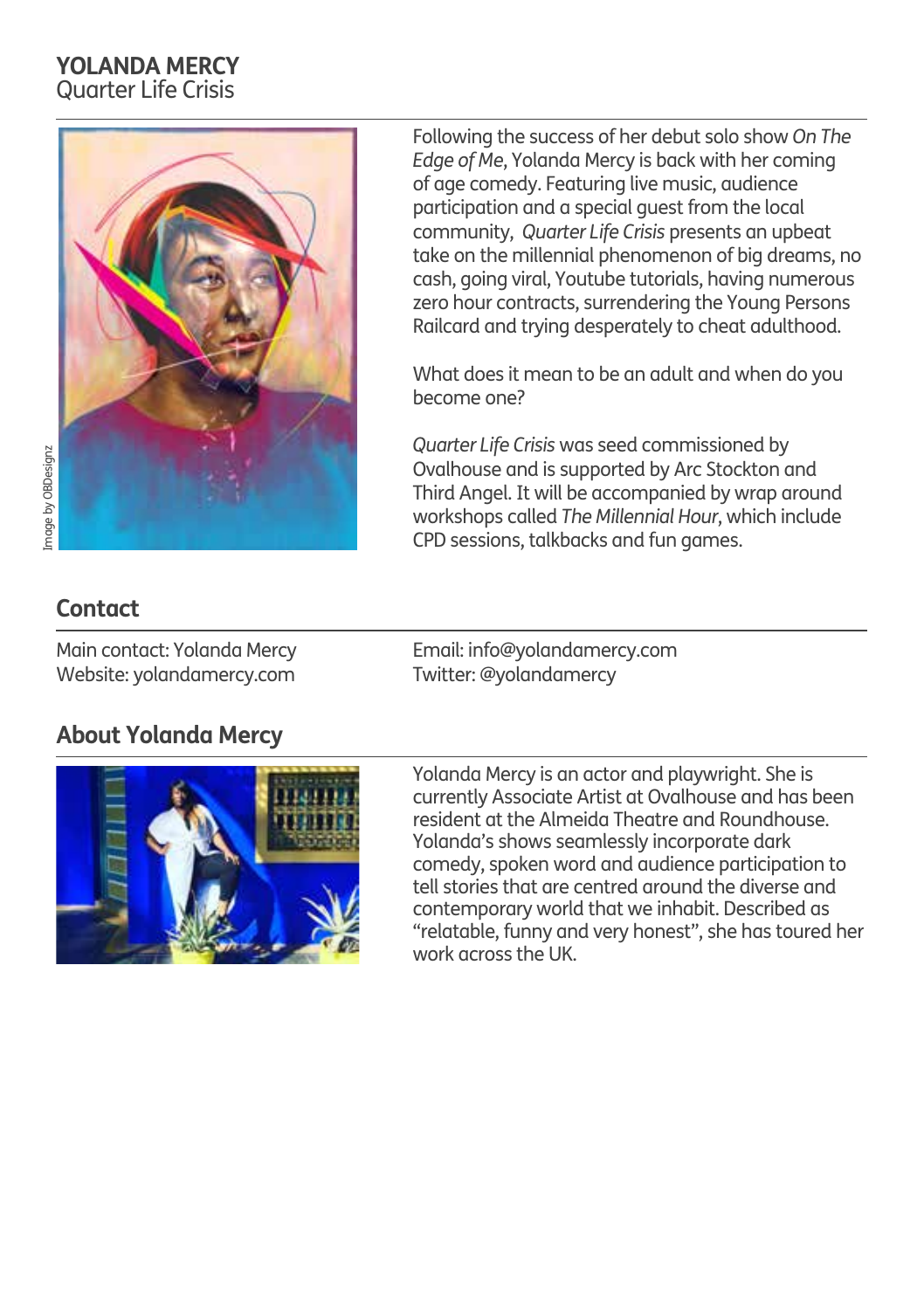## **YOLANDA MERCY** Quarter Life Crisis

![](_page_9_Picture_1.jpeg)

Following the success of her debut solo show *On The Edge of Me*, Yolanda Mercy is back with her coming of age comedy. Featuring live music, audience participation and a special guest from the local community, *Quarter Life Crisis* presents an upbeat take on the millennial phenomenon of big dreams, no cash, going viral, Youtube tutorials, having numerous zero hour contracts, surrendering the Young Persons Railcard and trying desperately to cheat adulthood.

What does it mean to be an adult and when do you become one?

*Quarter Life Crisis* was seed commissioned by Ovalhouse and is supported by Arc Stockton and Third Angel. It will be accompanied by wrap around workshops called *The Millennial Hour*, which include CPD sessions, talkbacks and fun games.

## **Contact**

Main contact: Yolanda Mercy Website: yolandamercy.com Email: info@yolandamercy.com Twitter: @yolandamercy

## **About Yolanda Mercy**

![](_page_9_Picture_10.jpeg)

Yolanda Mercy is an actor and playwright. She is currently Associate Artist at Ovalhouse and has been resident at the Almeida Theatre and Roundhouse. Yolanda's shows seamlessly incorporate dark comedy, spoken word and audience participation to tell stories that are centred around the diverse and contemporary world that we inhabit. Described as "relatable, funny and very honest", she has toured her work across the UK.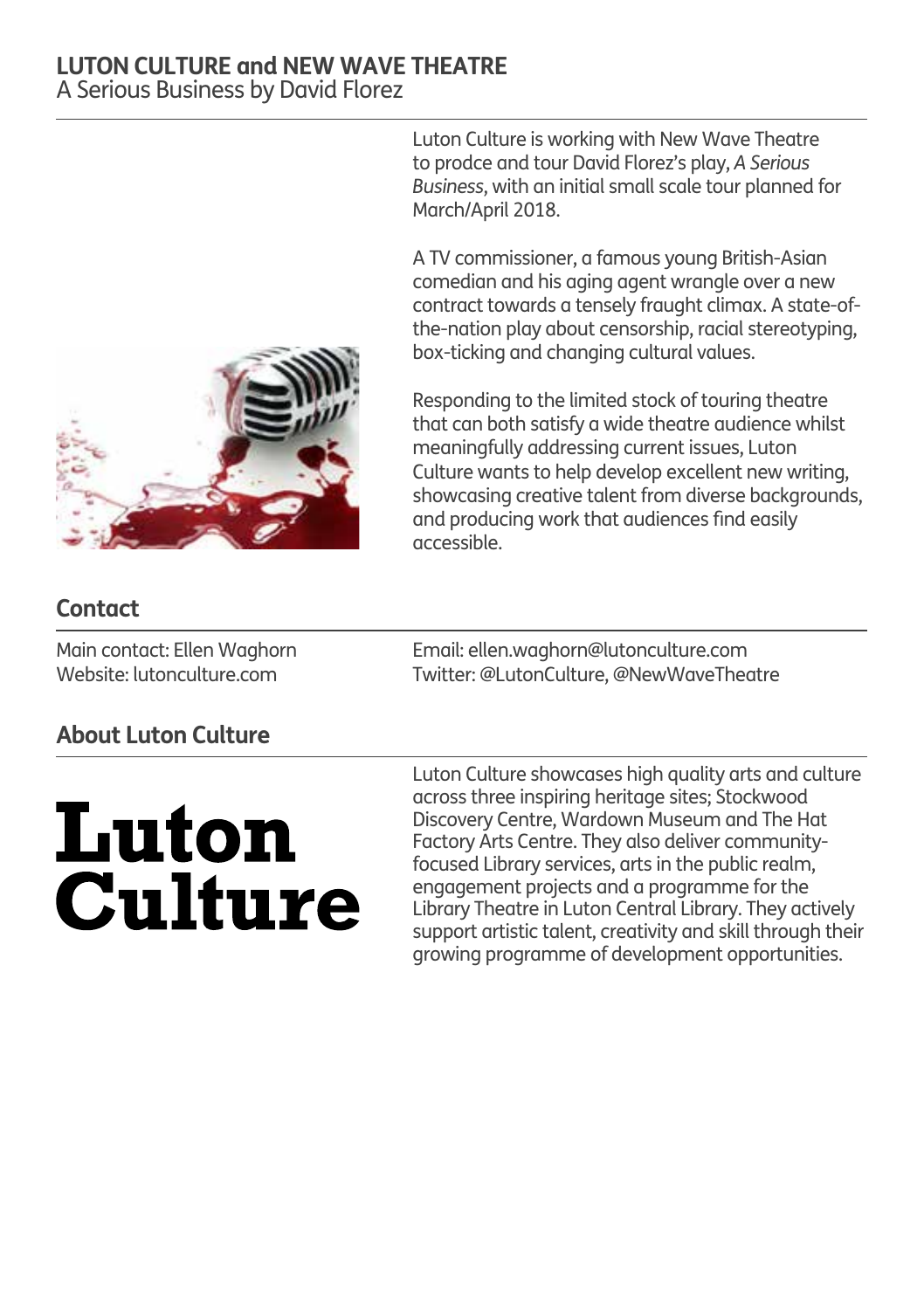#### **LUTON CULTURE and NEW WAVE THEATRE** A Serious Business by David Florez

Luton Culture is working with New Wave Theatre to prodce and tour David Florez's play, *A Serious Business*, with an initial small scale tour planned for March/April 2018.

A TV commissioner, a famous young British-Asian comedian and his aging agent wrangle over a new contract towards a tensely fraught climax. A state-ofthe-nation play about censorship, racial stereotyping, box-ticking and changing cultural values.

Responding to the limited stock of touring theatre that can both satisfy a wide theatre audience whilst meaningfully addressing current issues, Luton Culture wants to help develop excellent new writing, showcasing creative talent from diverse backgrounds, and producing work that audiences find easily accessible.

Email: ellen.waghorn@lutonculture.com Twitter: @LutonCulture, @NewWaveTheatre

## **Contact**

Main contact: Ellen Waghorn Website: lutonculture.com

**About Luton Culture**

# **Luton Culture**

Luton Culture showcases high quality arts and culture across three inspiring heritage sites; Stockwood Discovery Centre, Wardown Museum and The Hat Factory Arts Centre. They also deliver communityfocused Library services, arts in the public realm, engagement projects and a programme for the Library Theatre in Luton Central Library. They actively support artistic talent, creativity and skill through their growing programme of development opportunities.

![](_page_10_Picture_10.jpeg)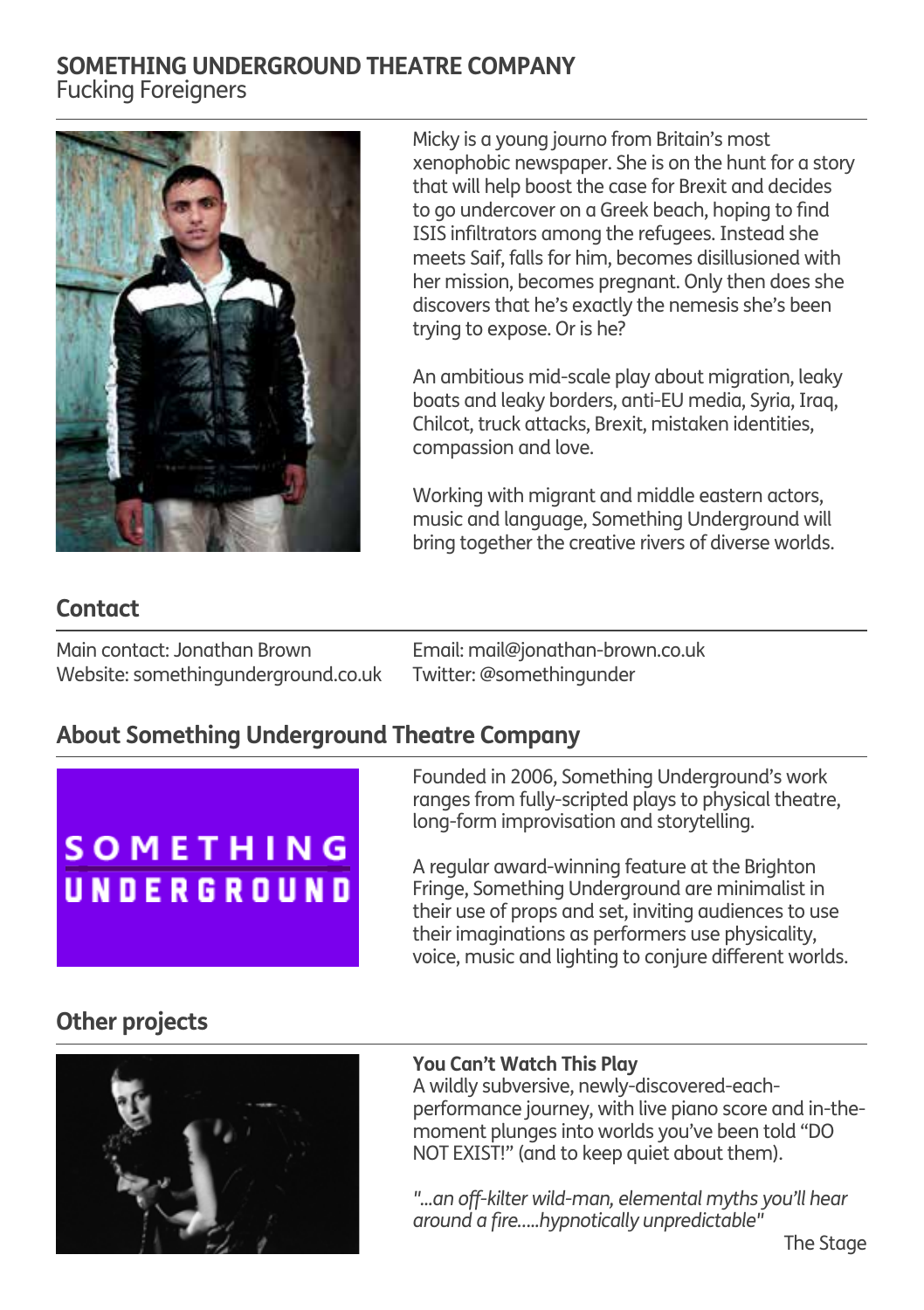## **SOMETHING UNDERGROUND THEATRE COMPANY** Fucking Foreigners

![](_page_11_Picture_1.jpeg)

Micky is a young journo from Britain's most xenophobic newspaper. She is on the hunt for a story that will help boost the case for Brexit and decides to go undercover on a Greek beach, hoping to find ISIS infiltrators among the refugees. Instead she meets Saif, falls for him, becomes disillusioned with her mission, becomes pregnant. Only then does she discovers that he's exactly the nemesis she's been trying to expose. Or is he?

An ambitious mid-scale play about migration, leaky boats and leaky borders, anti-EU media, Syria, Iraq, Chilcot, truck attacks, Brexit, mistaken identities, compassion and love.

Working with migrant and middle eastern actors, music and language, Something Underground will bring together the creative rivers of diverse worlds.

## **Contact**

Email: mail@jonathan-brown.co.uk Twitter: @somethingunder Main contact: Jonathan Brown Website: somethingunderground.co.uk

## **About Something Underground Theatre Company**

## **SOMETHING** UNDERGROUND

Founded in 2006, Something Underground's work ranges from fully-scripted plays to physical theatre, long-form improvisation and storytelling.

A regular award-winning feature at the Brighton Fringe, Something Underground are minimalist in their use of props and set, inviting audiences to use their imaginations as performers use physicality, voice, music and lighting to conjure different worlds.

## **Other projects**

![](_page_11_Picture_12.jpeg)

#### **You Can't Watch This Play**

A wildly subversive, newly-discovered-eachperformance journey, with live piano score and in-themoment plunges into worlds you've been told "DO NOT EXIST!" (and to keep quiet about them).

*"...an off-kilter wild-man, elemental myths you'll hear around a fire…..hypnotically unpredictable"*

The Stage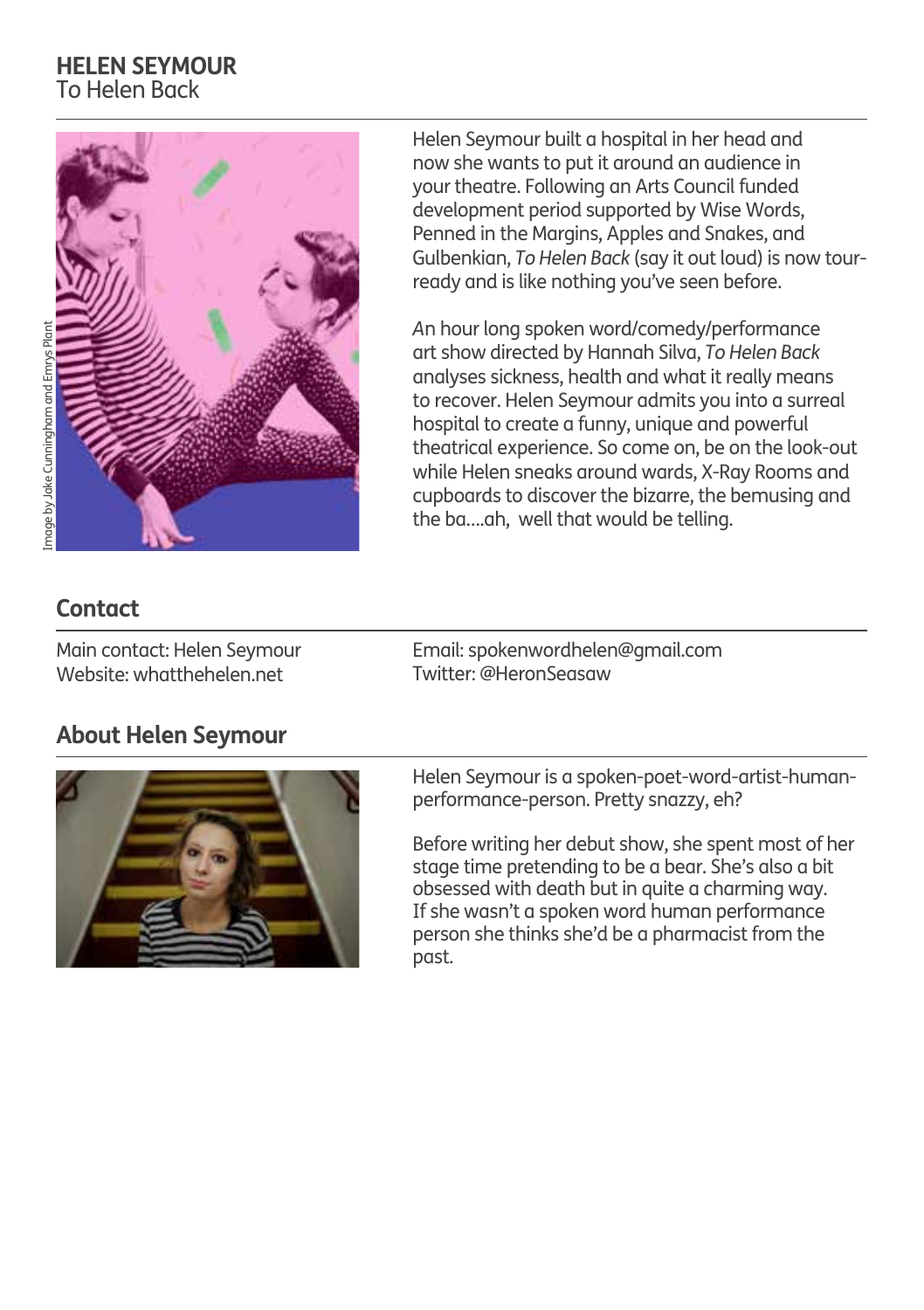#### **HELEN SEYMOUR** To Helen Back

![](_page_12_Picture_1.jpeg)

Helen Seymour built a hospital in her head and now she wants to put it around an audience in your theatre. Following an Arts Council funded development period supported by Wise Words, Penned in the Margins, Apples and Snakes, and Gulbenkian, *To Helen Back* (say it out loud) is now tourready and is like nothing you've seen before.

*A*n hour long spoken word/comedy/performance art show directed by Hannah Silva, *To Helen Back* analyses sickness, health and what it really means to recover. Helen Seymour admits you into a surreal hospital to create a funny, unique and powerful theatrical experience. So come on, be on the look-out while Helen sneaks around wards, X-Ray Rooms and cupboards to discover the bizarre, the bemusing and the ba….ah, well that would be telling.

## **Contact**

Main contact: Helen Seymour Website: whatthehelen.net

Email: spokenwordhelen@gmail.com Twitter: @HeronSeasaw

## **About Helen Seymour**

![](_page_12_Picture_8.jpeg)

Helen Seymour is a spoken-poet-word-artist-humanperformance-person. Pretty snazzy, eh?

Before writing her debut show, she spent most of her stage time pretending to be a bear. She's also a bit obsessed with death but in quite a charming way. If she wasn't a spoken word human performance person she thinks she'd be a pharmacist from the past.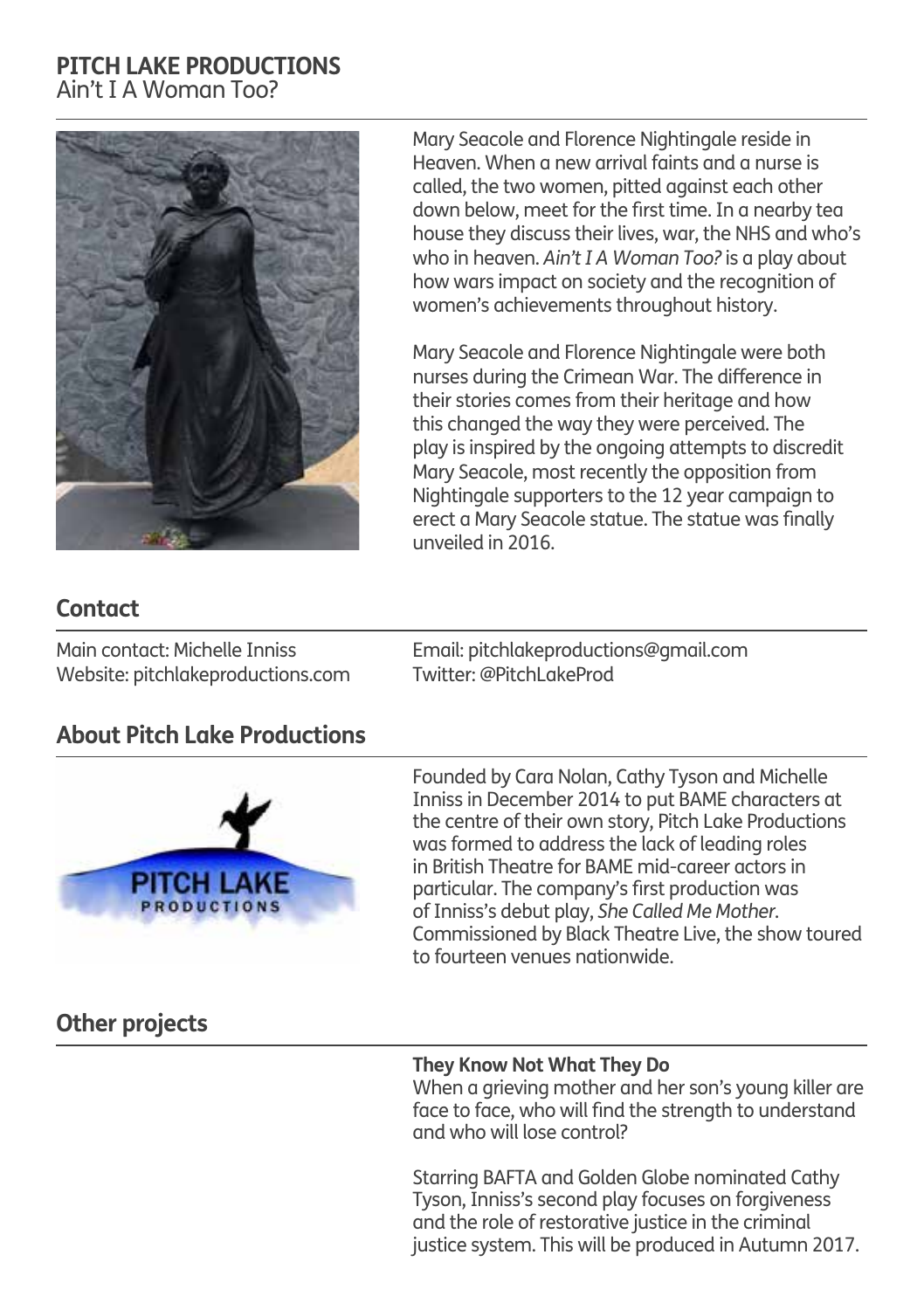#### **PITCH LAKE PRODUCTIONS** Ain't I A Woman Too?

![](_page_13_Picture_1.jpeg)

Mary Seacole and Florence Nightingale reside in Heaven. When a new arrival faints and a nurse is called, the two women, pitted against each other down below, meet for the first time. In a nearby tea house they discuss their lives, war, the NHS and who's who in heaven. *Ain't I A Woman Too?* is a play about how wars impact on society and the recognition of women's achievements throughout history.

Mary Seacole and Florence Nightingale were both nurses during the Crimean War. The difference in their stories comes from their heritage and how this changed the way they were perceived. The play is inspired by the ongoing attempts to discredit Mary Seacole, most recently the opposition from Nightingale supporters to the 12 year campaign to erect a Mary Seacole statue. The statue was finally unveiled in 2016.

## **Contact**

Main contact: Michelle Inniss Website: pitchlakeproductions.com Email: pitchlakeproductions@gmail.com Twitter: @PitchLakeProd

## **About Pitch Lake Productions**

![](_page_13_Picture_8.jpeg)

Founded by Cara Nolan, Cathy Tyson and Michelle Inniss in December 2014 to put BAME characters at the centre of their own story, Pitch Lake Productions was formed to address the lack of leading roles in British Theatre for BAME mid-career actors in particular. The company's first production was of Inniss's debut play, *She Called Me Mother*. Commissioned by Black Theatre Live, the show toured to fourteen venues nationwide.

## **Other projects**

#### **They Know Not What They Do**

When a grieving mother and her son's young killer are face to face, who will find the strength to understand and who will lose control?

Starring BAFTA and Golden Globe nominated Cathy Tyson, Inniss's second play focuses on forgiveness and the role of restorative justice in the criminal justice system. This will be produced in Autumn 2017.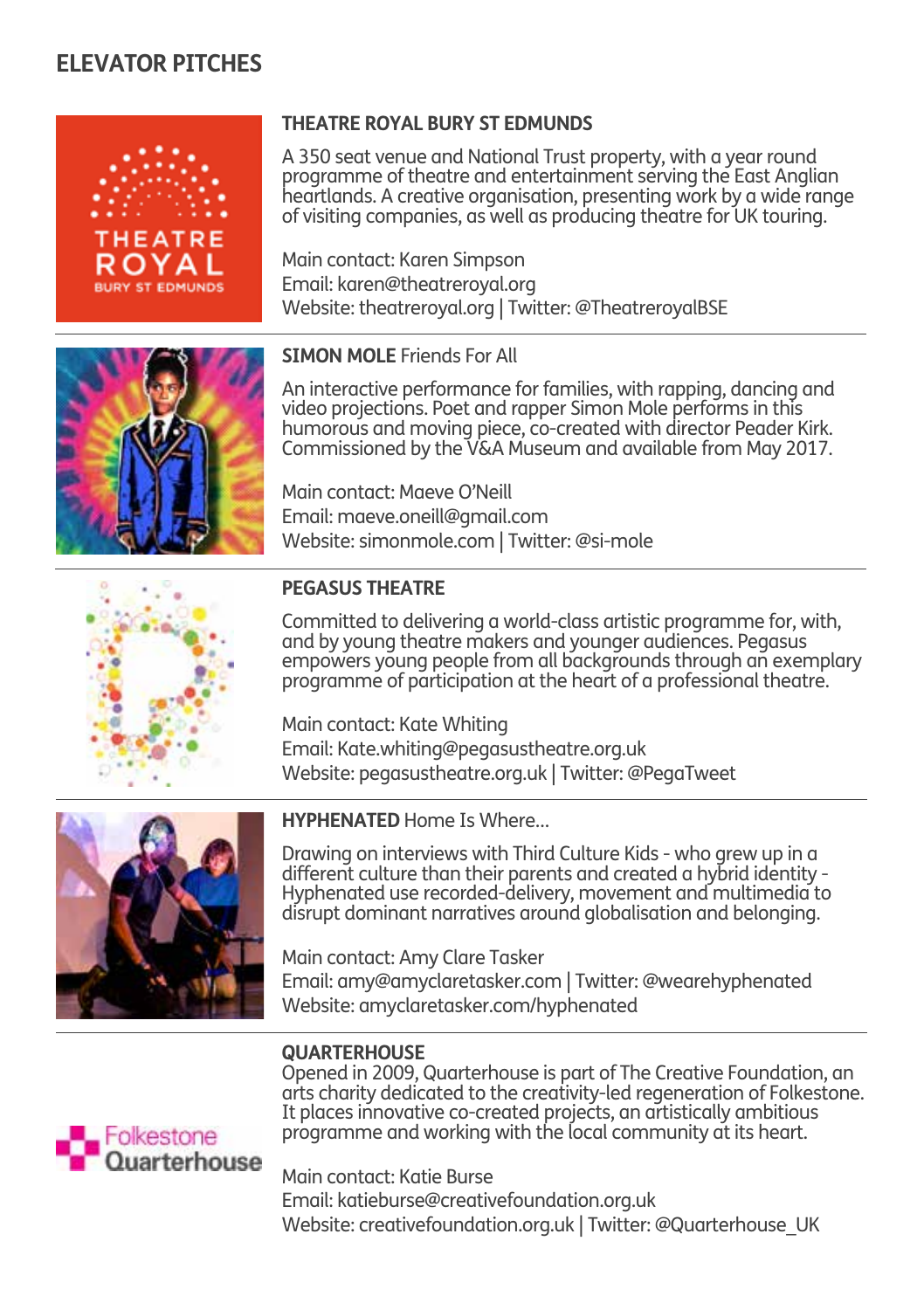![](_page_14_Picture_1.jpeg)

#### **THEATRE ROYAL BURY ST EDMUNDS**

A 350 seat venue and National Trust property, with a year round programme of theatre and entertainment serving the East Anglian heartlands. A creative organisation, presenting work by a wide range of visiting companies, as well as producing theatre for UK touring.

Main contact: Karen Simpson Email: karen@theatreroyal.org Website: theatreroyal.org | Twitter: @TheatreroyalBSE

![](_page_14_Picture_5.jpeg)

#### **SIMON MOLE** Friends For All

An interactive performance for families, with rapping, dancing and video projections. Poet and rapper Simon Mole performs in this humorous and moving piece, co-created with director Peader Kirk. Commissioned by the V&A Museum and available from May 2017.

Main contact: Maeve O'Neill Email: maeve.oneill@gmail.com Website: simonmole.com | Twitter: @si-mole

![](_page_14_Picture_9.jpeg)

#### **PEGASUS THEATRE**

Committed to delivering a world-class artistic programme for, with, and by young theatre makers and younger audiences. Pegasus empowers young people from all backgrounds through an exemplary programme of participation at the heart of a professional theatre.

Main contact: Kate Whiting Email: Kate.whiting@pegasustheatre.org.uk Website: pegasustheatre.org.uk | Twitter: @PegaTweet

![](_page_14_Picture_13.jpeg)

**HYPHENATED** Home Is Where…

Drawing on interviews with Third Culture Kids - who grew up in a different culture than their parents and created a hybrid identity - Hyphenated use recorded-delivery, movement and multimedia to disrupt dominant narratives around globalisation and belonging.

Main contact: Amy Clare Tasker Email: amy@amyclaretasker.com | Twitter: @wearehyphenated Website: amyclaretasker.com/hyphenated

#### **QUARTERHOUSE**

Opened in 2009, Quarterhouse is part of The Creative Foundation, an arts charity dedicated to the creativity-led regeneration of Folkestone. It places innovative co-created projects, an artistically ambitious programme and working with the local community at its heart.

![](_page_14_Picture_19.jpeg)

Main contact: Katie Burse Email: katieburse@creativefoundation.org.uk Website: creativefoundation.org.uk | Twitter: @Quarterhouse\_UK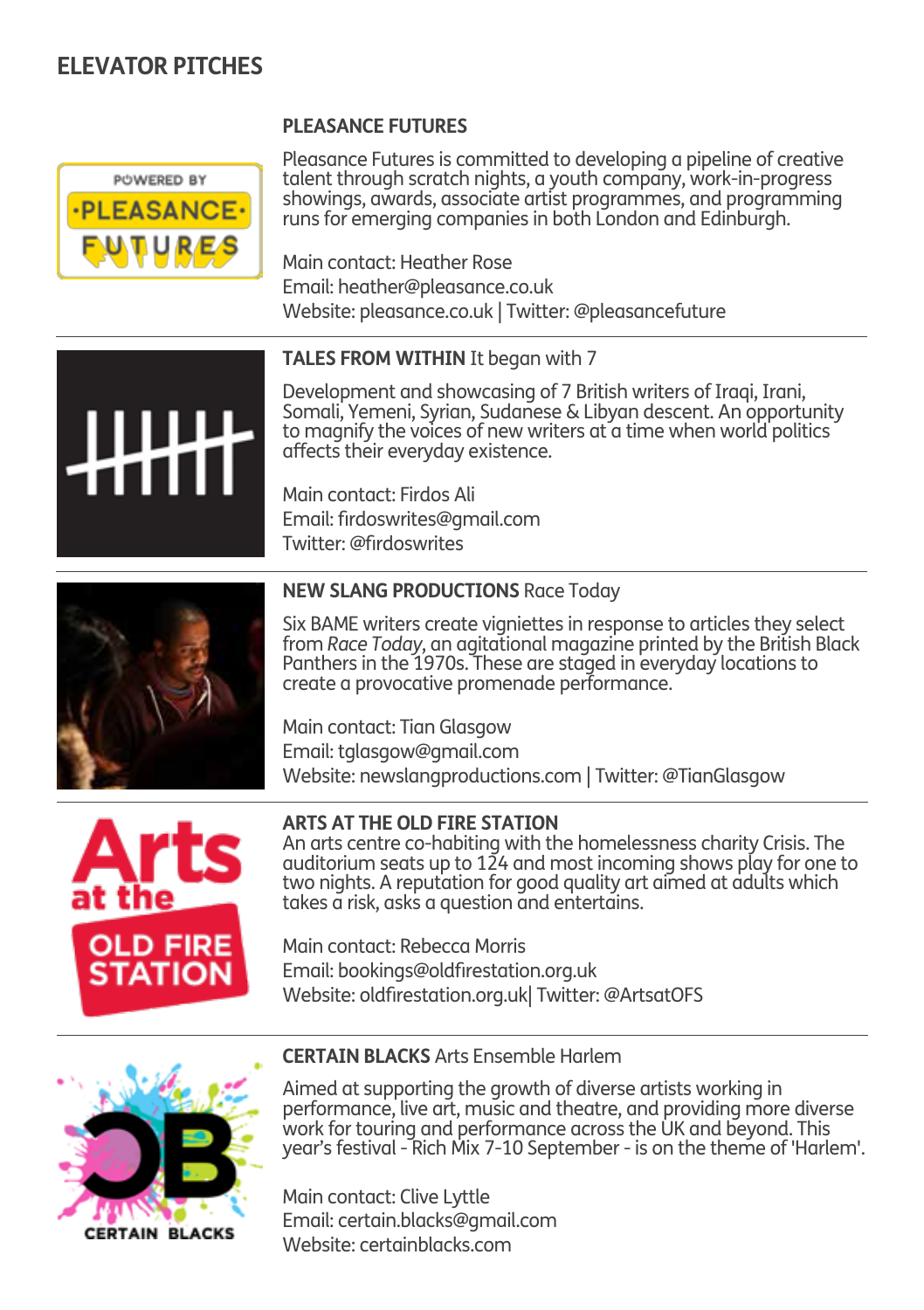![](_page_15_Picture_1.jpeg)

Pleasance Futures is committed to developing a pipeline of creative talent through scratch nights, a youth company, work-in-progress showings, awards, associate artist programmes, and programming runs for emerging companies in both London and Edinburgh.

Main contact: Heather Rose Email: heather@pleasance.co.uk Website: pleasance.co.uk | Twitter: @pleasancefuture

#### **TALES FROM WITHIN** It began with 7

**PLEASANCE FUTURES** 

Development and showcasing of 7 British writers of Iraqi, Irani, Somali, Yemeni, Syrian, Sudanese & Libyan descent. An opportunity to magnify the voices of new writers at a time when world politics affects their everyday existence.

Main contact: Firdos Ali Email: firdoswrites@gmail.com Twitter: @firdoswrites

![](_page_15_Picture_7.jpeg)

#### **NEW SLANG PRODUCTIONS** Race Today

Six BAME writers create vigniettes in response to articles they select from *Race Today*, an agitational magazine printed by the British Black Panthers in the 1970s. These are staged in everyday locations to create a provocative promenade performance.

Main contact: Tian Glasgow Email: tglasgow@gmail.com Website: newslangproductions.com | Twitter: @TianGlasgow

![](_page_15_Picture_11.jpeg)

#### **ARTS AT THE OLD FIRE STATION**

An arts centre co-habiting with the homelessness charity Crisis. The auditorium seats up to 124 and most incoming shows play for one to two nights. A reputation for good quality art aimed at adults which takes a risk, asks a question and entertains.

Main contact: Rebecca Morris Email: bookings@oldfirestation.org.uk Website: oldfirestation.org.uk| Twitter: @ArtsatOFS

![](_page_15_Picture_15.jpeg)

#### **CERTAIN BLACKS**

#### **CERTAIN BLACKS** Arts Ensemble Harlem

Aimed at supporting the growth of diverse artists working in performance, live art, music and theatre, and providing more diverse work for touring and performance across the UK and beyond. This year's festival - Rich Mix 7-10 September - is on the theme of 'Harlem'.

Main contact: Clive Lyttle Email: certain.blacks@gmail.com Website: certainblacks.com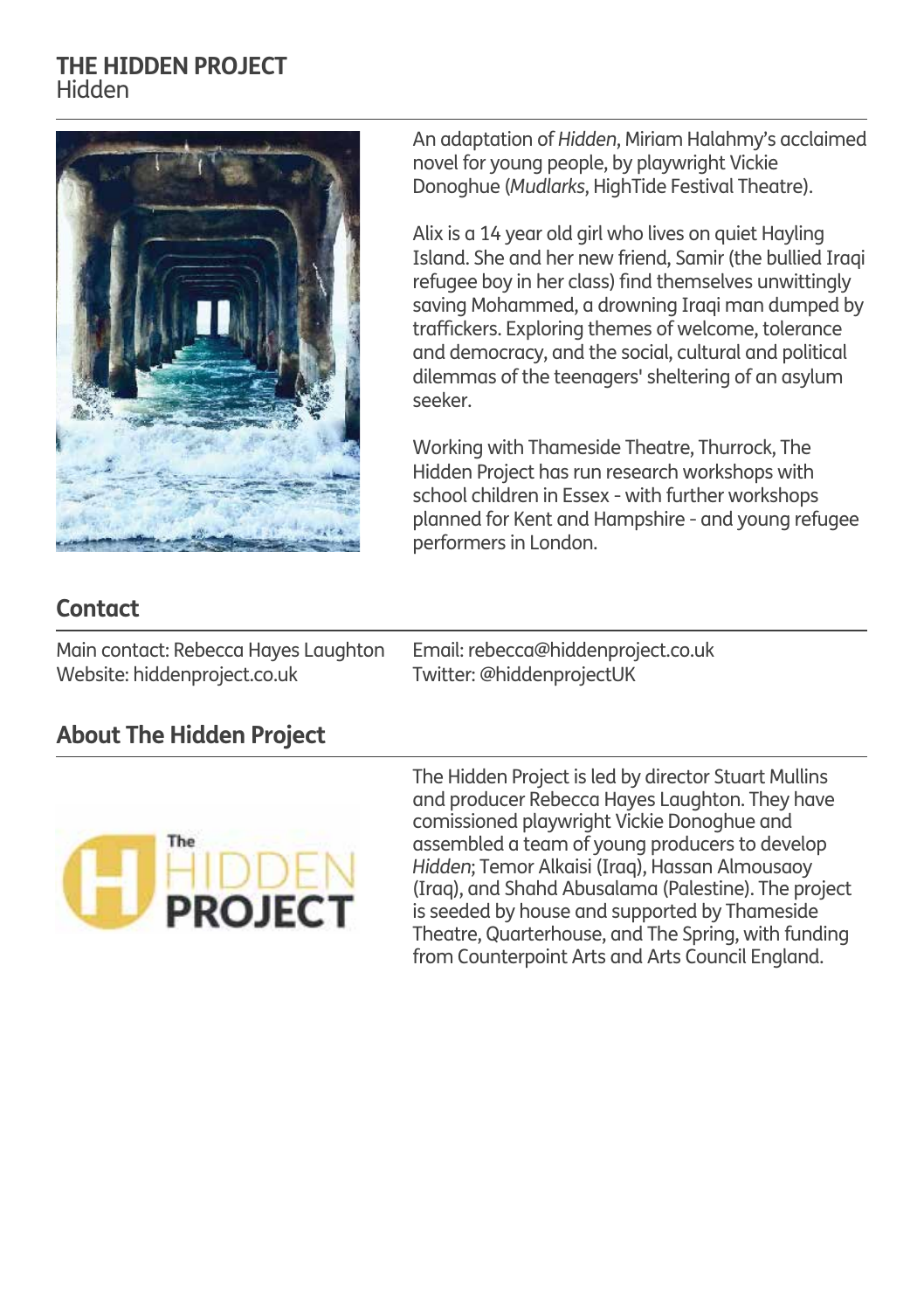#### **THE HIDDEN PROJECT** Hidden

![](_page_16_Picture_1.jpeg)

An adaptation of *Hidden*, Miriam Halahmy's acclaimed novel for young people, by playwright Vickie Donoghue (*Mudlarks*, HighTide Festival Theatre).

Alix is a 14 year old girl who lives on quiet Hayling Island. She and her new friend, Samir (the bullied Iraqi refugee boy in her class) find themselves unwittingly saving Mohammed, a drowning Iraqi man dumped by traffickers. Exploring themes of welcome, tolerance and democracy, and the social, cultural and political dilemmas of the teenagers' sheltering of an asylum seeker.

Working with Thameside Theatre, Thurrock, The Hidden Project has run research workshops with school children in Essex - with further workshops planned for Kent and Hampshire - and young refugee performers in London.

## **Contact**

Main contact: Rebecca Hayes Laughton Website: hiddenproject.co.uk

Email: rebecca@hiddenproject.co.uk Twitter: @hiddenprojectUK

## **About The Hidden Project**

![](_page_16_Picture_9.jpeg)

The Hidden Project is led by director Stuart Mullins and producer Rebecca Hayes Laughton. They have comissioned playwright Vickie Donoghue and assembled a team of young producers to develop *Hidden*; Temor Alkaisi (Iraq), Hassan Almousaoy (Iraq), and Shahd Abusalama (Palestine). The project is seeded by house and supported by Thameside Theatre, Quarterhouse, and The Spring, with funding from Counterpoint Arts and Arts Council England.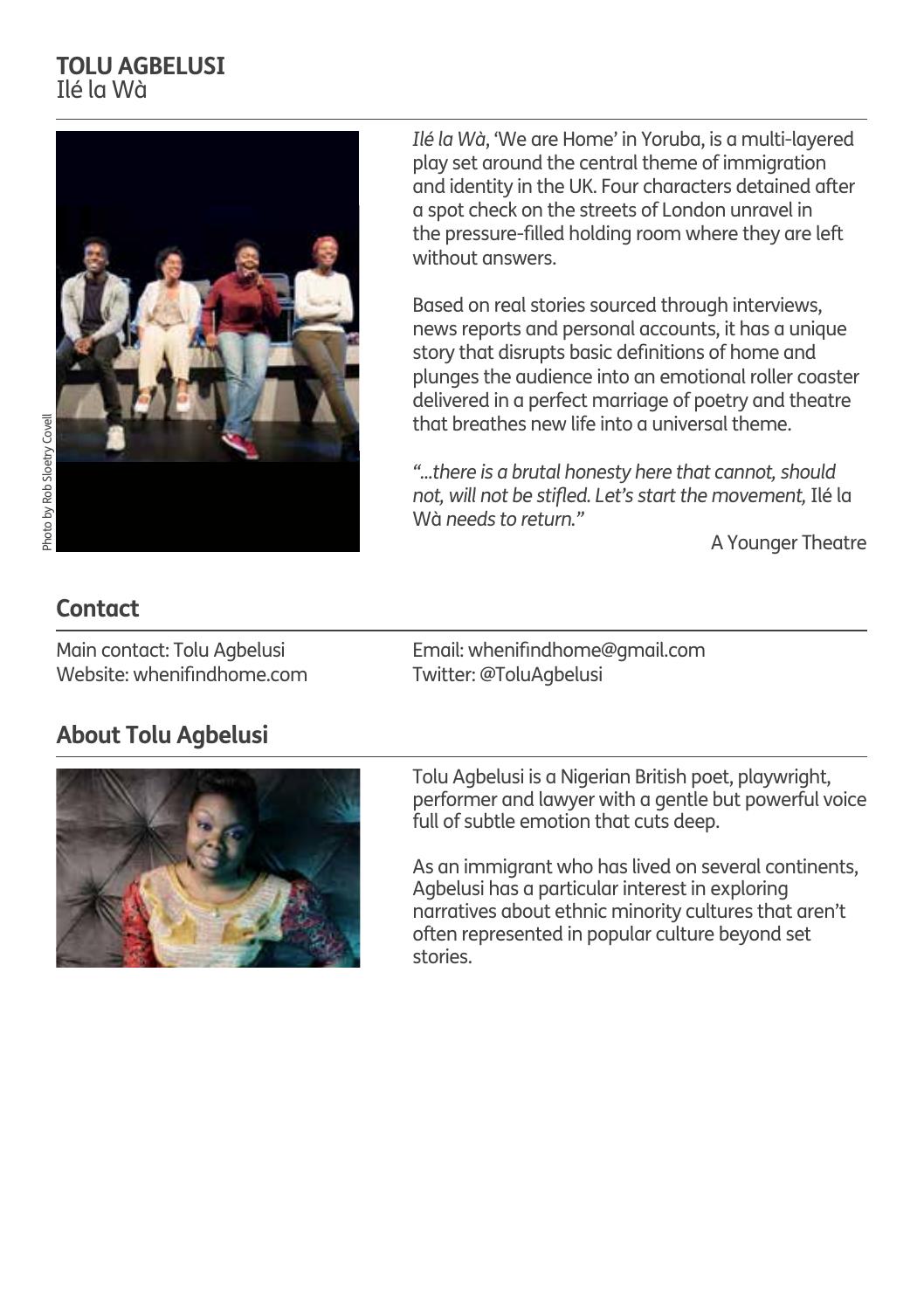## **TOLU AGBELUSI** Ilé la Wà

![](_page_17_Picture_1.jpeg)

Photo by Rob Sloetry Covell Photo by Rob Sloetry Covell *Ilé la Wà*, 'We are Home' in Yoruba, is a multi-layered play set around the central theme of immigration and identity in the UK. Four characters detained after a spot check on the streets of London unravel in the pressure-filled holding room where they are left without answers.

Based on real stories sourced through interviews, news reports and personal accounts, it has a unique story that disrupts basic definitions of home and plunges the audience into an emotional roller coaster delivered in a perfect marriage of poetry and theatre that breathes new life into a universal theme.

*"...there is a brutal honesty here that cannot, should not, will not be stifled. Let's start the movement,* Ilé la Wà *needs to return."*

A Younger Theatre

## **Contact**

Main contact: Tolu Agbelusi Website: whenifindhome.com Email: whenifindhome@gmail.com Twitter: @ToluAgbelusi

## **About Tolu Agbelusi**

![](_page_17_Picture_11.jpeg)

Tolu Agbelusi is a Nigerian British poet, playwright, performer and lawyer with a gentle but powerful voice full of subtle emotion that cuts deep.

As an immigrant who has lived on several continents, Agbelusi has a particular interest in exploring narratives about ethnic minority cultures that aren't often represented in popular culture beyond set stories.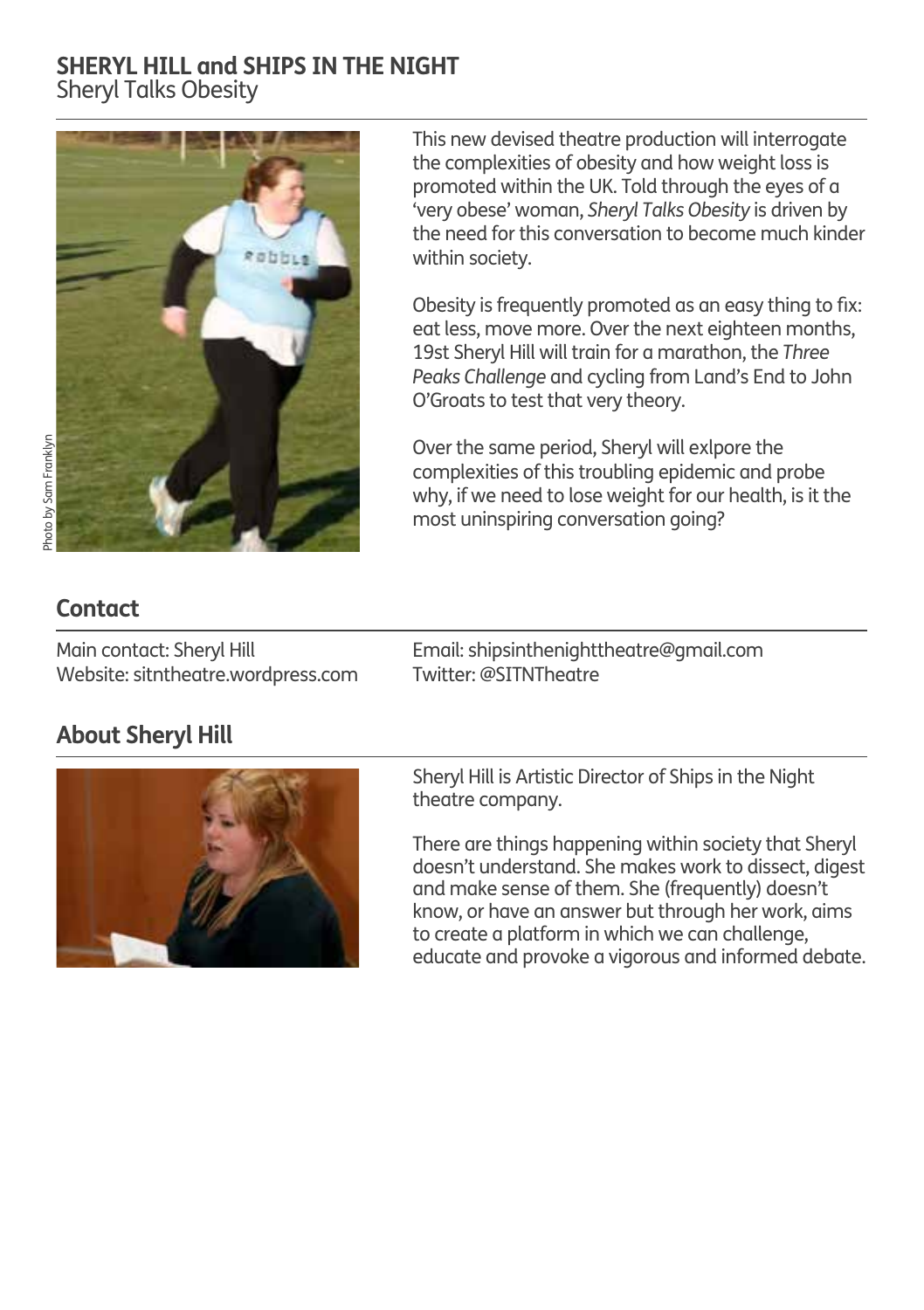## **SHERYL HILL and SHIPS IN THE NIGHT** Sheryl Talks Obesity

![](_page_18_Picture_1.jpeg)

This new devised theatre production will interrogate the complexities of obesity and how weight loss is promoted within the UK. Told through the eyes of a 'very obese' woman, *Sheryl Talks Obesity* is driven by the need for this conversation to become much kinder within society.

Obesity is frequently promoted as an easy thing to fix: eat less, move more. Over the next eighteen months, 19st Sheryl Hill will train for a marathon, the *Three Peaks Challenge* and cycling from Land's End to John O'Groats to test that very theory.

Over the same period, Sheryl will exlpore the complexities of this troubling epidemic and probe why, if we need to lose weight for our health, is it the most uninspiring conversation going?

## **Contact**

Main contact: Sheryl Hill Website: sitntheatre.wordpress.com Email: shipsinthenighttheatre@gmail.com Twitter: @SITNTheatre

## **About Sheryl Hill**

![](_page_18_Picture_9.jpeg)

Sheryl Hill is Artistic Director of Ships in the Night theatre company.

There are things happening within society that Sheryl doesn't understand. She makes work to dissect, digest and make sense of them. She (frequently) doesn't know, or have an answer but through her work, aims to create a platform in which we can challenge, educate and provoke a vigorous and informed debate.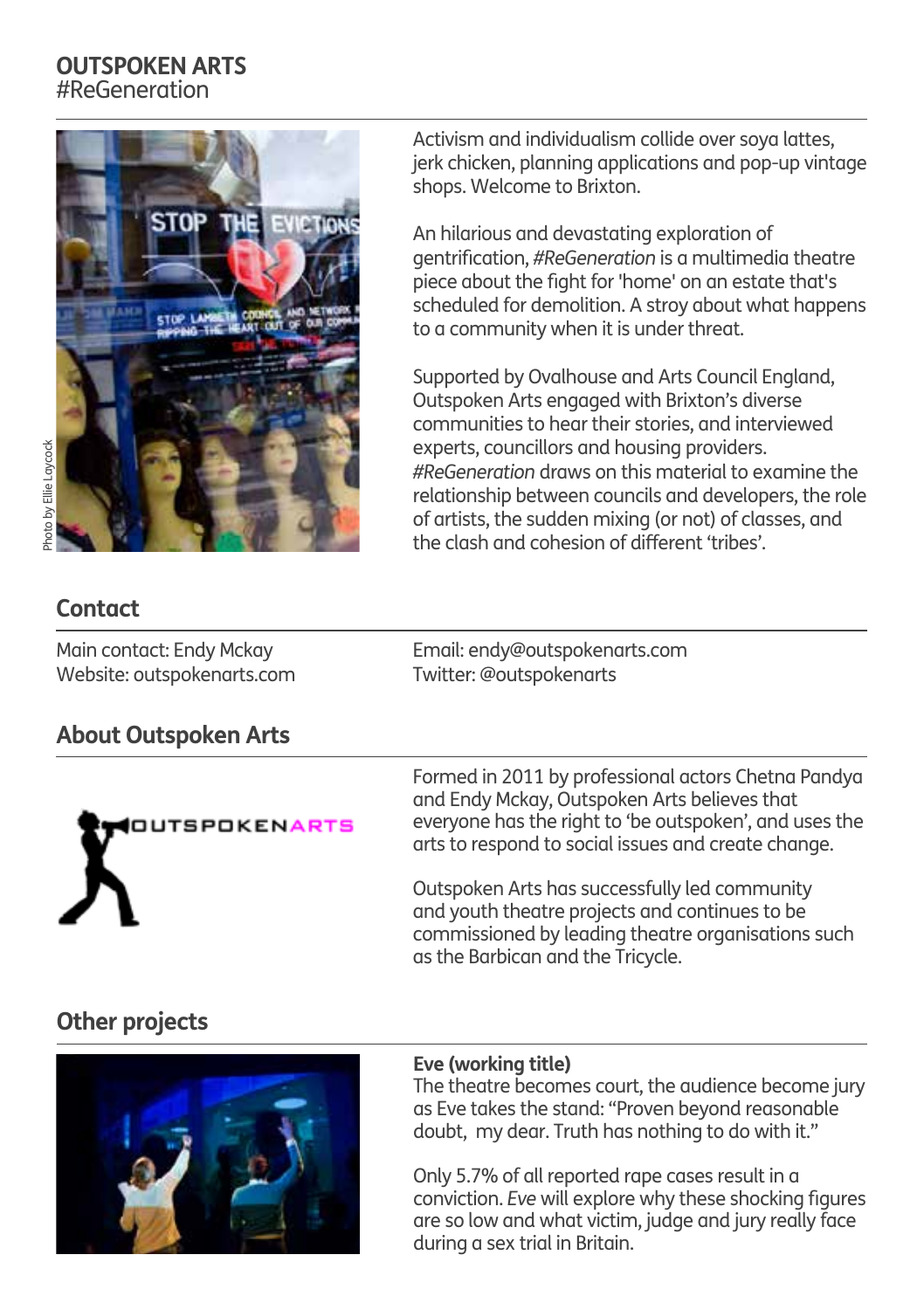## **OUTSPOKEN ARTS** #ReGeneration

![](_page_19_Picture_1.jpeg)

noto by Ellie Laycock Photo by Ellie Laycock

Activism and individualism collide over soya lattes, jerk chicken, planning applications and pop-up vintage shops. Welcome to Brixton.

An hilarious and devastating exploration of gentrification, *#ReGeneration* is a multimedia theatre piece about the fight for 'home' on an estate that's scheduled for demolition. A stroy about what happens to a community when it is under threat.

Supported by Ovalhouse and Arts Council England, Outspoken Arts engaged with Brixton's diverse communities to hear their stories, and interviewed experts, councillors and housing providers. *#ReGeneration* draws on this material to examine the relationship between councils and developers, the role of artists, the sudden mixing (or not) of classes, and the clash and cohesion of different 'tribes'.

## **Contact**

Main contact: Endy Mckay Website: outspokenarts.com Email: endy@outspokenarts.com Twitter: @outspokenarts

## **About Outspoken Arts**

![](_page_19_Picture_10.jpeg)

Formed in 2011 by professional actors Chetna Pandya and Endy Mckay, Outspoken Arts believes that everyone has the right to 'be outspoken', and uses the arts to respond to social issues and create change.

Outspoken Arts has successfully led community and youth theatre projects and continues to be commissioned by leading theatre organisations such as the Barbican and the Tricycle.

## **Other projects**

![](_page_19_Picture_14.jpeg)

#### **Eve (working title)**

The theatre becomes court, the audience become jury as Eve takes the stand: "Proven beyond reasonable doubt, my dear. Truth has nothing to do with it."

Only 5.7% of all reported rape cases result in a conviction. *Eve* will explore why these shocking figures are so low and what victim, judge and jury really face during a sex trial in Britain.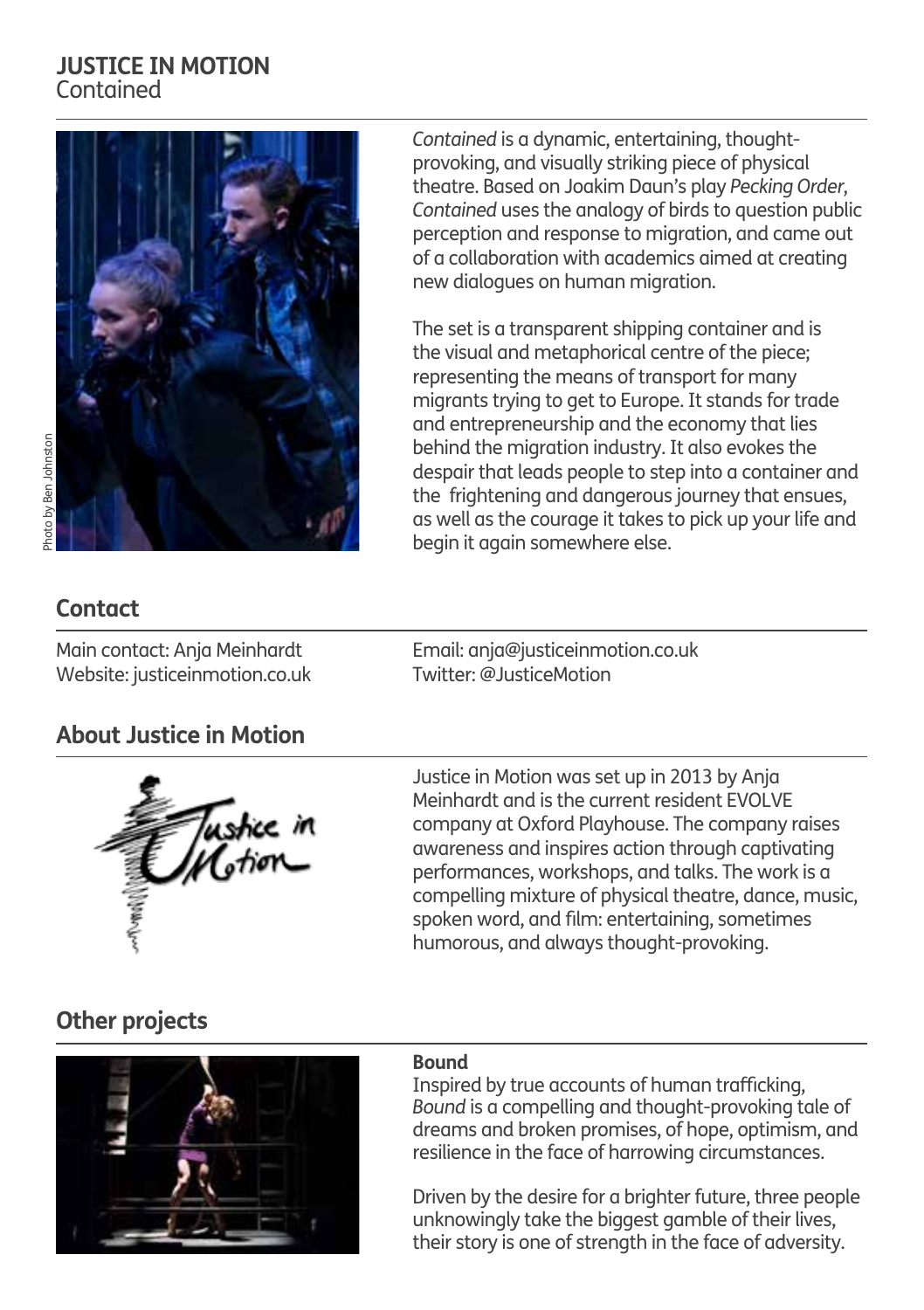#### **JUSTICE IN MOTION** Contained

![](_page_20_Picture_1.jpeg)

hoto by Ben Johnston Photo by Ben Johnston *Contained* is a dynamic, entertaining, thoughtprovoking, and visually striking piece of physical theatre. Based on Joakim Daun's play *Pecking Order*, *Contained* uses the analogy of birds to question public perception and response to migration, and came out of a collaboration with academics aimed at creating new dialogues on human migration.

The set is a transparent shipping container and is the visual and metaphorical centre of the piece; representing the means of transport for many migrants trying to get to Europe. It stands for trade and entrepreneurship and the economy that lies behind the migration industry. It also evokes the despair that leads people to step into a container and the frightening and dangerous journey that ensues, as well as the courage it takes to pick up your life and begin it again somewhere else.

## **Contact**

Main contact: Anja Meinhardt Website: justiceinmotion.co.uk

**About Justice in Motion**

![](_page_20_Picture_8.jpeg)

Email: anja@justiceinmotion.co.uk Twitter: @ JusticeMotion

Justice in Motion was set up in 2013 by Anja Meinhardt and is the current resident EVOLVE company at Oxford Playhouse. The company raises awareness and inspires action through captivating performances, workshops, and talks. The work is a compelling mixture of physical theatre, dance, music, spoken word, and film: entertaining, sometimes humorous, and always thought-provoking.

## **Other projects**

![](_page_20_Picture_12.jpeg)

#### **Bound**

Inspired by true accounts of human trafficking, *Bound* is a compelling and thought-provoking tale of dreams and broken promises, of hope, optimism, and resilience in the face of harrowing circumstances.

Driven by the desire for a brighter future, three people unknowingly take the biggest gamble of their lives, their story is one of strength in the face of adversity.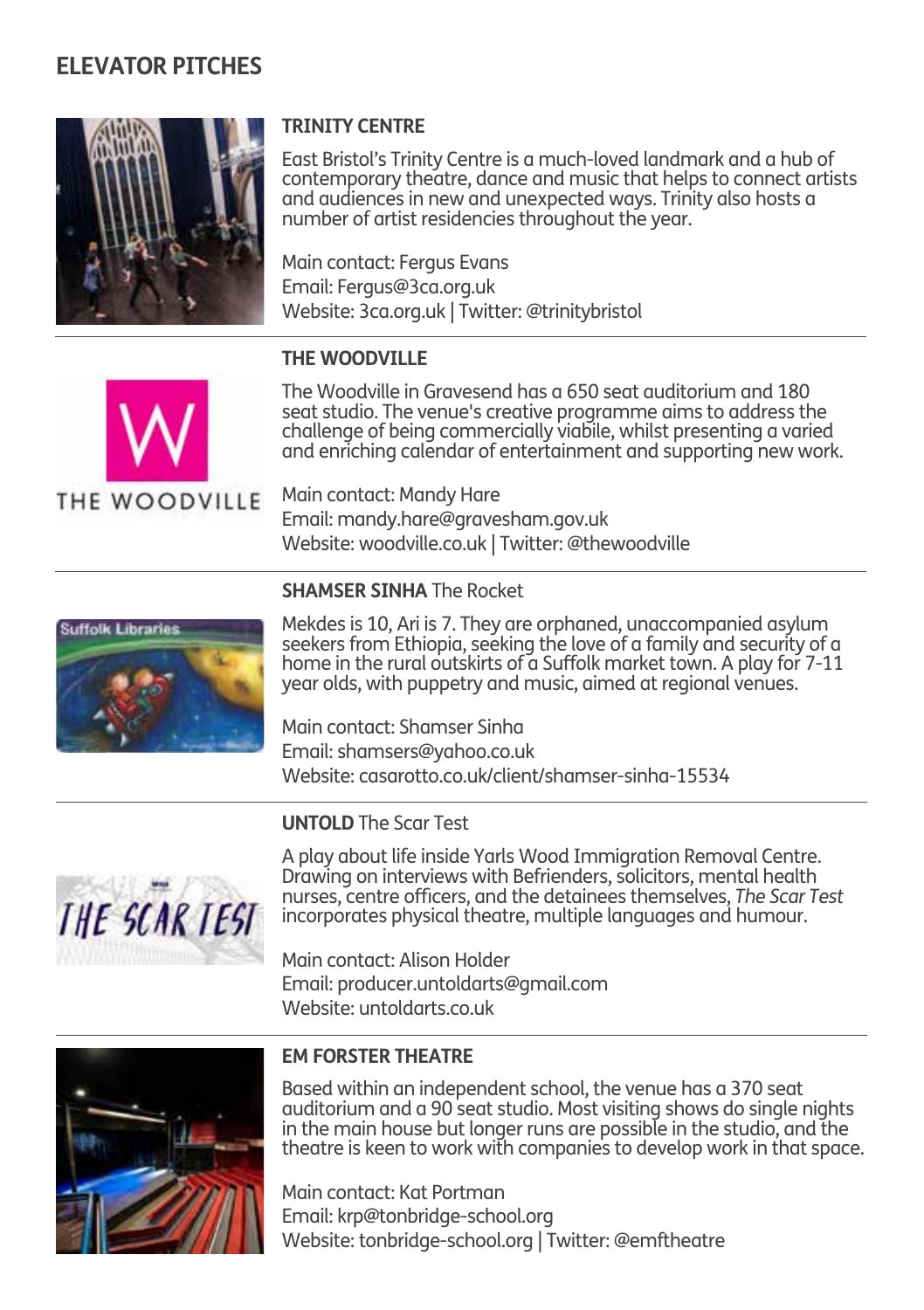![](_page_21_Picture_1.jpeg)

### **TRINITY CENTRE**

East Bristol's Trinity Centre is a much-loved landmark and a hub of contemporary theatre, dance and music that helps to connect artists and audiences in new and unexpected ways. Trinity also hosts a number of artist residencies throughout the year.

Main contact: Fergus Evans Email: Fergus@3ca.org.uk Website: 3ca.org.uk | Twitter: @trinitybristol

#### **THE WOODVILLE**

![](_page_21_Picture_6.jpeg)

The Woodville in Gravesend has a 650 seat auditorium and 180 seat studio. The venue's creative programme aims to address the challenge of being commercially viabile, whilst presenting a varied and enriching calendar of entertainment and supporting new work.

THE WOODVILLE

Main contact: Mandy Hare Email: mandy.hare@gravesham.gov.uk Website: woodville.co.uk | Twitter: @thewoodville

![](_page_21_Picture_10.jpeg)

#### **SHAMSER SINHA** The Rocket

Mekdes is 10, Ari is 7. They are orphaned, unaccompanied asylum seekers from Ethiopia, seeking the love of a family and security of a home in the rural outskirts of a Suffolk market town. A play for 7-11 year olds, with puppetry and music, aimed at regional venues.

Main contact: Shamser Sinha Email: shamsers@yahoo.co.uk Website: casarotto.co.uk/client/shamser-sinha-15534

#### **UNTOLD** The Scar Test

![](_page_21_Picture_15.jpeg)

A play about life inside Yarls Wood Immigration Removal Centre. Drawing on interviews with Befrienders, solicitors, mental health nurses, centre officers, and the detainees themselves, *The Scar Test* incorporates physical theatre, multiple languages and humour.

Main contact: Alison Holder Email: producer.untoldarts@gmail.com Website: untoldarts.co.uk

![](_page_21_Picture_18.jpeg)

#### **EM FORSTER THEATRE**

Based within an independent school, the venue has a 370 seat auditorium and a 90 seat studio. Most visiting shows do single nights in the main house but longer runs are possible in the studio, and the theatre is keen to work with companies to develop work in that space.

Main contact: Kat Portman Email: krp@tonbridge-school.org Website: tonbridge-school.org | Twitter: @emftheatre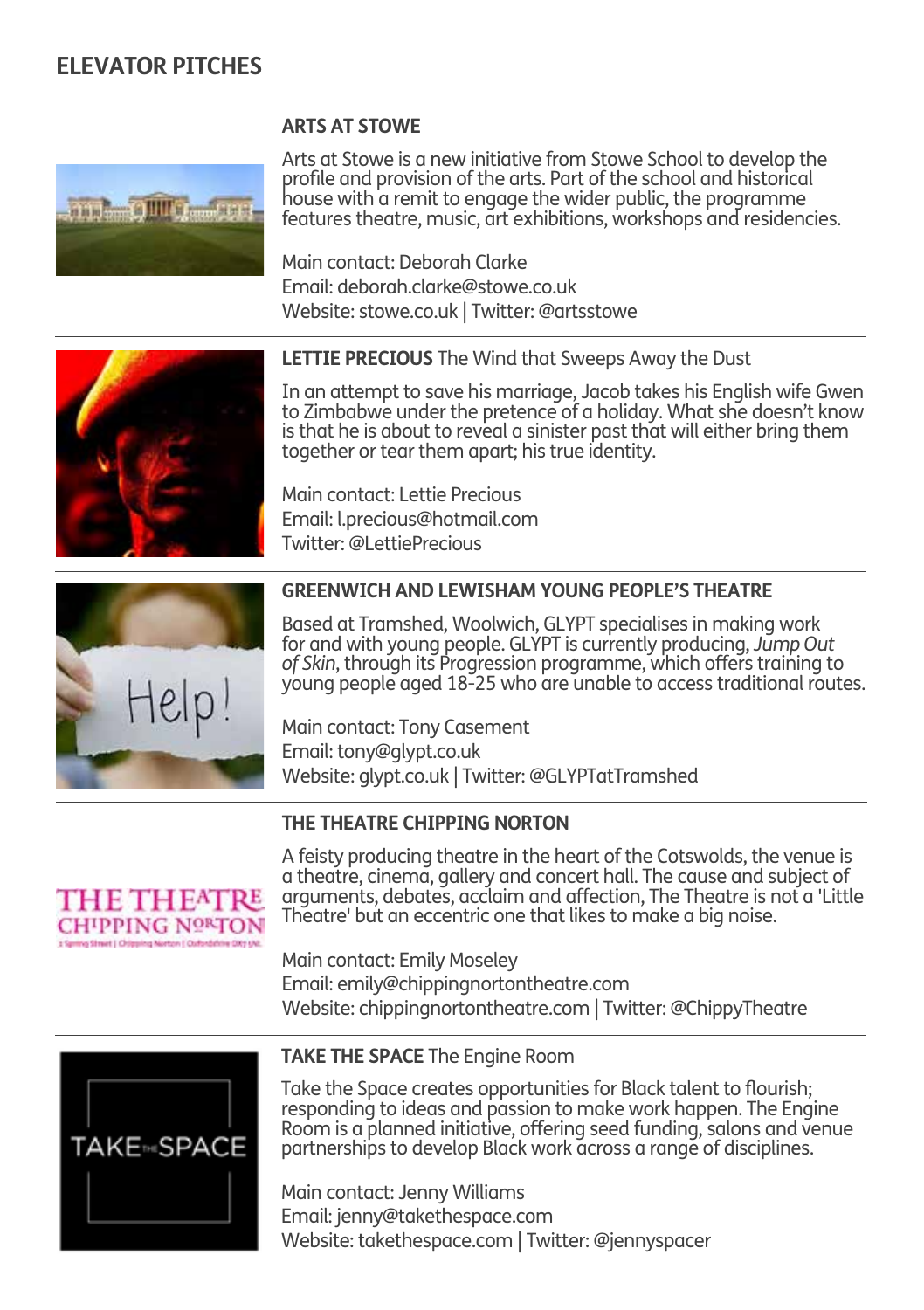#### **ARTS AT STOWE**

![](_page_22_Picture_2.jpeg)

Arts at Stowe is a new initiative from Stowe School to develop the profile and provision of the arts. Part of the school and historical house with a remit to engage the wider public, the programme features theatre, music, art exhibitions, workshops and residencies.

Main contact: Deborah Clarke Email: deborah.clarke@stowe.co.uk Website: stowe.co.uk | Twitter: @artsstowe

![](_page_22_Picture_5.jpeg)

**LETTIE PRECIOUS** The Wind that Sweeps Away the Dust

In an attempt to save his marriage, Jacob takes his English wife Gwen to Zimbabwe under the pretence of a holiday. What she doesn't know is that he is about to reveal a sinister past that will either bring them together or tear them apart; his true identity.

Main contact: Lettie Precious Email: l.precious@hotmail.com Twitter: @LettiePrecious

![](_page_22_Picture_9.jpeg)

#### **GREENWICH AND LEWISHAM YOUNG PEOPLE'S THEATRE**

Based at Tramshed, Woolwich, GLYPT specialises in making work for and with young people. GLYPT is currently producing, *Jump Out of Skin*, through its Progression programme, which offers training to young people aged 18-25 who are unable to access traditional routes.

Main contact: Tony Casement Email: tony@glypt.co.uk Website: glypt.co.uk | Twitter: @GLYPTatTramshed

#### **THE THEATRE CHIPPING NORTON**

![](_page_22_Picture_14.jpeg)

A feisty producing theatre in the heart of the Cotswolds, the venue is a theatre, cinema, gallery and concert hall. The cause and subject of arguments, debates, acclaim and affection, The Theatre is not a 'Little Theatre' but an eccentric one that likes to make a big noise.

Main contact: Emily Moseley Email: emily@chippingnortontheatre.com Website: chippingnortontheatre.com | Twitter: @ChippyTheatre

![](_page_22_Picture_17.jpeg)

#### **TAKE THE SPACE** The Engine Room

Take the Space creates opportunities for Black talent to flourish; responding to ideas and passion to make work happen. The Engine Room is a planned initiative, offering seed funding, salons and venue partnerships to develop Black work across a range of disciplines.

Main contact: Jenny Williams Email: jenny@takethespace.com Website: takethespace.com | Twitter: @jennyspacer